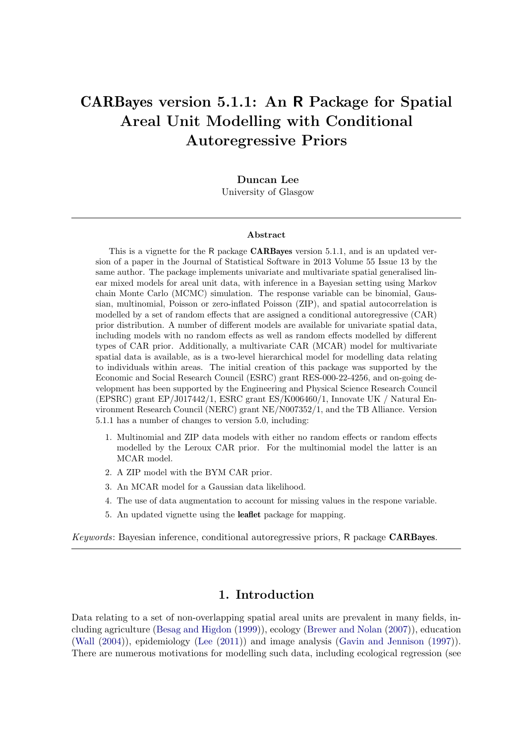# CARBayes version 5.1.1: An R Package for Spatial Areal Unit Modelling with Conditional Autoregressive Priors

Duncan Lee University of Glasgow

#### Abstract

This is a vignette for the R package **CARBayes** version 5.1.1, and is an updated version of a paper in the Journal of Statistical Software in 2013 Volume 55 Issue 13 by the same author. The package implements univariate and multivariate spatial generalised linear mixed models for areal unit data, with inference in a Bayesian setting using Markov chain Monte Carlo (MCMC) simulation. The response variable can be binomial, Gaussian, multinomial, Poisson or zero-inflated Poisson (ZIP), and spatial autocorrelation is modelled by a set of random effects that are assigned a conditional autoregressive (CAR) prior distribution. A number of different models are available for univariate spatial data, including models with no random effects as well as random effects modelled by different types of CAR prior. Additionally, a multivariate CAR (MCAR) model for multivariate spatial data is available, as is a two-level hierarchical model for modelling data relating to individuals within areas. The initial creation of this package was supported by the Economic and Social Research Council (ESRC) grant RES-000-22-4256, and on-going development has been supported by the Engineering and Physical Science Research Council (EPSRC) grant EP/J017442/1, ESRC grant ES/K006460/1, Innovate UK / Natural Environment Research Council (NERC) grant NE/N007352/1, and the TB Alliance. Version 5.1.1 has a number of changes to version 5.0, including:

- 1. Multinomial and ZIP data models with either no random effects or random effects modelled by the Leroux CAR prior. For the multinomial model the latter is an MCAR model.
- 2. A ZIP model with the BYM CAR prior.
- 3. An MCAR model for a Gaussian data likelihood.
- 4. The use of data augmentation to account for missing values in the respone variable.
- 5. An updated vignette using the leaflet package for mapping.

Keywords: Bayesian inference, conditional autoregressive priors, R package CARBayes.

# 1. Introduction

Data relating to a set of non-overlapping spatial areal units are prevalent in many fields, including agriculture [\(Besag and Higdon](#page-27-0) [\(1999\)](#page-27-0)), ecology [\(Brewer and Nolan](#page-27-1) [\(2007\)](#page-27-1)), education [\(Wall](#page-29-0) [\(2004\)](#page-29-0)), epidemiology [\(Lee](#page-28-0) [\(2011\)](#page-28-0)) and image analysis [\(Gavin and Jennison](#page-27-2) [\(1997\)](#page-27-2)). There are numerous motivations for modelling such data, including ecological regression (see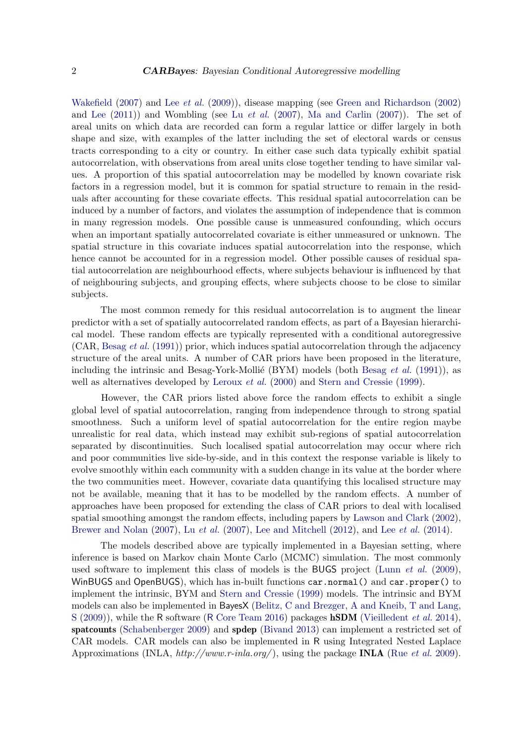[Wakefield](#page-29-1) [\(2007\)](#page-29-1) and Lee [et al.](#page-28-1) [\(2009\)](#page-28-1)), disease mapping (see [Green and Richardson](#page-27-3) [\(2002\)](#page-27-3) and [Lee](#page-28-0)  $(2011)$  and Wombling (see Lu *[et al.](#page-28-2)*  $(2007)$ , [Ma and Carlin](#page-28-3)  $(2007)$ ). The set of areal units on which data are recorded can form a regular lattice or differ largely in both shape and size, with examples of the latter including the set of electoral wards or census tracts corresponding to a city or country. In either case such data typically exhibit spatial autocorrelation, with observations from areal units close together tending to have similar values. A proportion of this spatial autocorrelation may be modelled by known covariate risk factors in a regression model, but it is common for spatial structure to remain in the residuals after accounting for these covariate effects. This residual spatial autocorrelation can be induced by a number of factors, and violates the assumption of independence that is common in many regression models. One possible cause is unmeasured confounding, which occurs when an important spatially autocorrelated covariate is either unmeasured or unknown. The spatial structure in this covariate induces spatial autocorrelation into the response, which hence cannot be accounted for in a regression model. Other possible causes of residual spatial autocorrelation are neighbourhood effects, where subjects behaviour is influenced by that of neighbouring subjects, and grouping effects, where subjects choose to be close to similar subjects.

The most common remedy for this residual autocorrelation is to augment the linear predictor with a set of spatially autocorrelated random effects, as part of a Bayesian hierarchical model. These random effects are typically represented with a conditional autoregressive  $(CAR, Besag et al. (1991))$  $(CAR, Besag et al. (1991))$  $(CAR, Besag et al. (1991))$  $(CAR, Besag et al. (1991))$  $(CAR, Besag et al. (1991))$  prior, which induces spatial autocorrelation through the adjacency structure of the areal units. A number of CAR priors have been proposed in the literature, including the intrinsic and [Besag](#page-27-4)-York-Mollié (BYM) models (both Besag et al.  $(1991)$ ), as well as alternatives developed by [Leroux](#page-28-4) et al. [\(2000\)](#page-28-4) and [Stern and Cressie](#page-29-2) [\(1999\)](#page-29-2).

However, the CAR priors listed above force the random effects to exhibit a single global level of spatial autocorrelation, ranging from independence through to strong spatial smoothness. Such a uniform level of spatial autocorrelation for the entire region maybe unrealistic for real data, which instead may exhibit sub-regions of spatial autocorrelation separated by discontinuities. Such localised spatial autocorrelation may occur where rich and poor communities live side-by-side, and in this context the response variable is likely to evolve smoothly within each community with a sudden change in its value at the border where the two communities meet. However, covariate data quantifying this localised structure may not be available, meaning that it has to be modelled by the random effects. A number of approaches have been proposed for extending the class of CAR priors to deal with localised spatial smoothing amongst the random effects, including papers by [Lawson and Clark](#page-28-5) [\(2002\)](#page-28-5), [Brewer and Nolan](#page-27-1) [\(2007\)](#page-28-2), Lu *[et al.](#page-28-7)* (2007), [Lee and Mitchell](#page-28-6) [\(2012\)](#page-28-6), and Lee *et al.* [\(2014\)](#page-28-7).

The models described above are typically implemented in a Bayesian setting, where inference is based on Markov chain Monte Carlo (MCMC) simulation. The most commonly used software to implement this class of models is the BUGS project [\(Lunn](#page-28-8) *et al.* [\(2009\)](#page-28-8), WinBUGS and OpenBUGS), which has in-built functions car.normal() and car.proper() to implement the intrinsic, BYM and [Stern and Cressie](#page-29-2) [\(1999\)](#page-29-2) models. The intrinsic and BYM models can also be implemented in BayesX [\(Belitz, C and Brezger, A and Kneib, T and Lang,](#page-26-0)  $S(2009)$  $S(2009)$ , while the R software (R [Core Team 2016\)](#page-29-3) packages **hSDM** [\(Vieilledent](#page-29-4) *et al.* [2014\)](#page-29-4), spatcounts [\(Schabenberger 2009\)](#page-29-5) and spdep [\(Bivand 2013\)](#page-27-5) can implement a restricted set of CAR models. CAR models can also be implemented in R using Integrated Nested Laplace Approximations (INLA,  $http://www.r-inla.org/)$ , using the package **INLA** (Rue *[et al.](#page-29-6)* [2009\)](#page-29-6).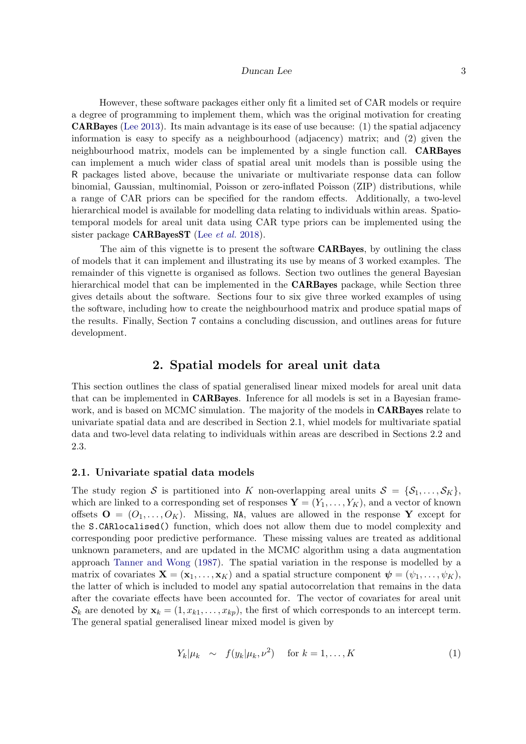However, these software packages either only fit a limited set of CAR models or require a degree of programming to implement them, which was the original motivation for creating CARBayes [\(Lee 2013\)](#page-28-9). Its main advantage is its ease of use because: (1) the spatial adjacency information is easy to specify as a neighbourhood (adjacency) matrix; and (2) given the neighbourhood matrix, models can be implemented by a single function call. CARBayes can implement a much wider class of spatial areal unit models than is possible using the R packages listed above, because the univariate or multivariate response data can follow binomial, Gaussian, multinomial, Poisson or zero-inflated Poisson (ZIP) distributions, while a range of CAR priors can be specified for the random effects. Additionally, a two-level hierarchical model is available for modelling data relating to individuals within areas. Spatiotemporal models for areal unit data using CAR type priors can be implemented using the sister package  $CARBayesST$  (Lee *[et al.](#page-28-10)* [2018\)](#page-28-10).

The aim of this vignette is to present the software CARBayes, by outlining the class of models that it can implement and illustrating its use by means of 3 worked examples. The remainder of this vignette is organised as follows. Section two outlines the general Bayesian hierarchical model that can be implemented in the **CARBayes** package, while Section three gives details about the software. Sections four to six give three worked examples of using the software, including how to create the neighbourhood matrix and produce spatial maps of the results. Finally, Section 7 contains a concluding discussion, and outlines areas for future development.

### 2. Spatial models for areal unit data

This section outlines the class of spatial generalised linear mixed models for areal unit data that can be implemented in CARBayes. Inference for all models is set in a Bayesian framework, and is based on MCMC simulation. The majority of the models in CARBayes relate to univariate spatial data and are described in Section 2.1, whiel models for multivariate spatial data and two-level data relating to individuals within areas are described in Sections 2.2 and 2.3.

### 2.1. Univariate spatial data models

The study region S is partitioned into K non-overlapping areal units  $S = \{S_1, \ldots, S_K\}$ , which are linked to a corresponding set of responses  $\mathbf{Y} = (Y_1, \ldots, Y_K)$ , and a vector of known offsets  $\mathbf{O} = (O_1, \ldots, O_K)$ . Missing, NA, values are allowed in the response Y except for the S.CARlocalised() function, which does not allow them due to model complexity and corresponding poor predictive performance. These missing values are treated as additional unknown parameters, and are updated in the MCMC algorithm using a data augmentation approach [Tanner and Wong](#page-29-7) [\(1987\)](#page-29-7). The spatial variation in the response is modelled by a matrix of covariates  $\mathbf{X} = (\mathbf{x}_1, \dots, \mathbf{x}_K)$  and a spatial structure component  $\boldsymbol{\psi} = (\psi_1, \dots, \psi_K)$ , the latter of which is included to model any spatial autocorrelation that remains in the data after the covariate effects have been accounted for. The vector of covariates for areal unit  $\mathcal{S}_k$  are denoted by  $\mathbf{x}_k = (1, x_{k1}, \dots, x_{kp})$ , the first of which corresponds to an intercept term. The general spatial generalised linear mixed model is given by

<span id="page-2-0"></span>
$$
Y_k|\mu_k \sim f(y_k|\mu_k, \nu^2) \quad \text{for } k = 1, \dots, K \tag{1}
$$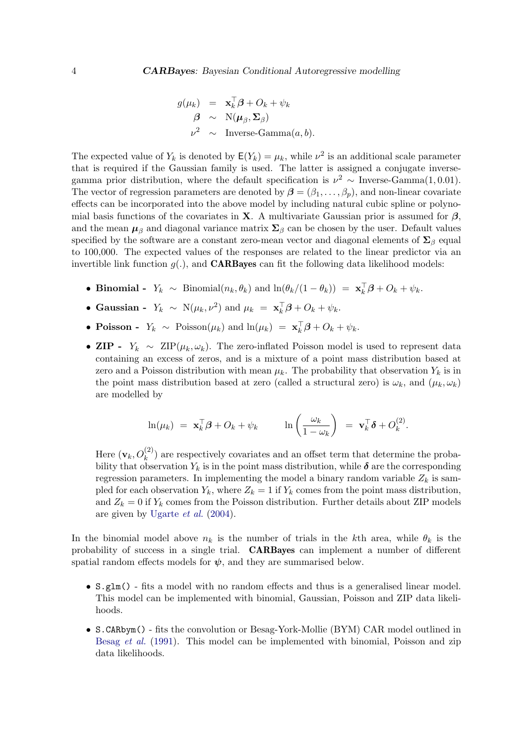$$
g(\mu_k) = \mathbf{x}_k^{\top} \boldsymbol{\beta} + O_k + \psi_k
$$
  

$$
\boldsymbol{\beta} \sim \mathcal{N}(\boldsymbol{\mu}_{\beta}, \boldsymbol{\Sigma}_{\beta})
$$
  

$$
\nu^2 \sim \text{Inverse-Gamma}(a, b).
$$

The expected value of  $Y_k$  is denoted by  $\mathsf{E}(Y_k) = \mu_k$ , while  $\nu^2$  is an additional scale parameter that is required if the Gaussian family is used. The latter is assigned a conjugate inversegamma prior distribution, where the default specification is  $\nu^2 \sim \text{Inverse-Gamma}(1, 0.01)$ . The vector of regression parameters are denoted by  $\beta = (\beta_1, \ldots, \beta_n)$ , and non-linear covariate effects can be incorporated into the above model by including natural cubic spline or polynomial basis functions of the covariates in **X**. A multivariate Gaussian prior is assumed for  $\beta$ , and the mean  $\mu_{\beta}$  and diagonal variance matrix  $\Sigma_{\beta}$  can be chosen by the user. Default values specified by the software are a constant zero-mean vector and diagonal elements of  $\Sigma_{\beta}$  equal to 100,000. The expected values of the responses are related to the linear predictor via an invertible link function  $q(.)$ , and **CARBayes** can fit the following data likelihood models:

- Binomial  $Y_k \sim \text{Binomial}(n_k, \theta_k)$  and  $\ln(\theta_k/(1-\theta_k)) = \mathbf{x}_k^{\top} \boldsymbol{\beta} + O_k + \psi_k$ .
- Gaussian  $Y_k \sim \mathcal{N}(\mu_k, \nu^2)$  and  $\mu_k = \mathbf{x}_k^{\top} \boldsymbol{\beta} + O_k + \psi_k$ .
- Poisson  $Y_k \sim \text{Poisson}(\mu_k)$  and  $\ln(\mu_k) = \mathbf{x}_k^{\top} \boldsymbol{\beta} + O_k + \psi_k$ .
- ZIP  $Y_k \sim \text{ZIP}(\mu_k, \omega_k)$ . The zero-inflated Poisson model is used to represent data containing an excess of zeros, and is a mixture of a point mass distribution based at zero and a Poisson distribution with mean  $\mu_k$ . The probability that observation  $Y_k$  is in the point mass distribution based at zero (called a structural zero) is  $\omega_k$ , and  $(\mu_k, \omega_k)$ are modelled by

$$
\ln(\mu_k) = \mathbf{x}_k^{\top} \boldsymbol{\beta} + O_k + \psi_k \qquad \ln\left(\frac{\omega_k}{1 - \omega_k}\right) = \mathbf{v}_k^{\top} \boldsymbol{\delta} + O_k^{(2)}.
$$

Here  $(\mathbf{v}_k, O_k^{(2)})$  are respectively covariates and an offset term that determine the probability that observation  $Y_k$  is in the point mass distribution, while  $\delta$  are the corresponding regression parameters. In implementing the model a binary random variable  $Z_k$  is sampled for each observation  $Y_k$ , where  $Z_k = 1$  if  $Y_k$  comes from the point mass distribution, and  $Z_k = 0$  if  $Y_k$  comes from the Poisson distribution. Further details about ZIP models are given by [Ugarte](#page-29-8) et al. [\(2004\)](#page-29-8).

In the binomial model above  $n_k$  is the number of trials in the kth area, while  $\theta_k$  is the probability of success in a single trial. CARBayes can implement a number of different spatial random effects models for  $\psi$ , and they are summarised below.

- S.glm() fits a model with no random effects and thus is a generalised linear model. This model can be implemented with binomial, Gaussian, Poisson and ZIP data likelihoods.
- S.CARbym() fits the convolution or Besag-York-Mollie (BYM) CAR model outlined in [Besag](#page-27-4) et al. [\(1991\)](#page-27-4). This model can be implemented with binomial, Poisson and zip data likelihoods.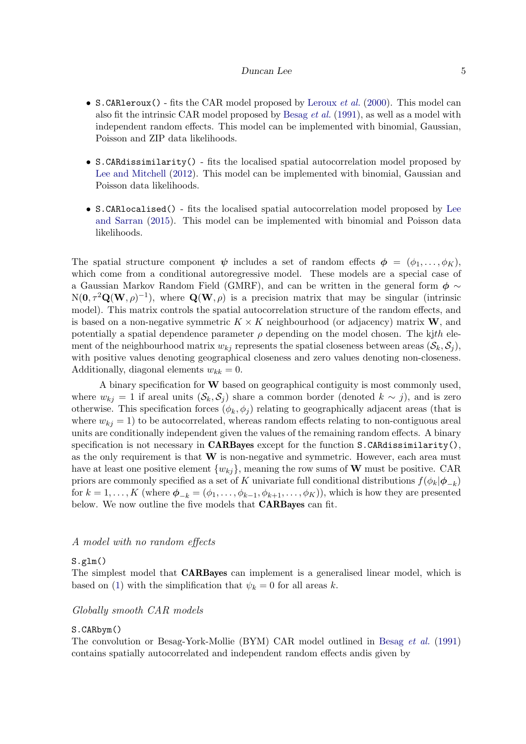- S.CARleroux() fits the CAR model proposed by [Leroux](#page-28-4) *et al.* [\(2000\)](#page-28-4). This model can also fit the intrinsic CAR model proposed by [Besag](#page-27-4) et al. [\(1991\)](#page-27-4), as well as a model with independent random effects. This model can be implemented with binomial, Gaussian, Poisson and ZIP data likelihoods.
- S.CARdissimilarity() fits the localised spatial autocorrelation model proposed by [Lee and Mitchell](#page-28-6) [\(2012\)](#page-28-6). This model can be implemented with binomial, Gaussian and Poisson data likelihoods.
- S.CARlocalised() fits the localised spatial autocorrelation model proposed by [Lee](#page-28-11) [and Sarran](#page-28-11) [\(2015\)](#page-28-11). This model can be implemented with binomial and Poisson data likelihoods.

The spatial structure component  $\psi$  includes a set of random effects  $\phi = (\phi_1, \ldots, \phi_K)$ , which come from a conditional autoregressive model. These models are a special case of a Gaussian Markov Random Field (GMRF), and can be written in the general form  $\phi \sim$  $N(\mathbf{0}, \tau^2 \mathbf{Q}(\mathbf{W}, \rho)^{-1}),$  where  $\mathbf{Q}(\mathbf{W}, \rho)$  is a precision matrix that may be singular (intrinsic model). This matrix controls the spatial autocorrelation structure of the random effects, and is based on a non-negative symmetric  $K \times K$  neighbourhood (or adjacency) matrix **W**, and potentially a spatial dependence parameter  $\rho$  depending on the model chosen. The kjth element of the neighbourhood matrix  $w_{ki}$  represents the spatial closeness between areas  $(\mathcal{S}_k, \mathcal{S}_i)$ , with positive values denoting geographical closeness and zero values denoting non-closeness. Additionally, diagonal elements  $w_{kk} = 0$ .

A binary specification for W based on geographical contiguity is most commonly used, where  $w_{kj} = 1$  if areal units  $(S_k, S_j)$  share a common border (denoted  $k \sim j$ ), and is zero otherwise. This specification forces  $(\phi_k, \phi_j)$  relating to geographically adjacent areas (that is where  $w_{ki} = 1$ ) to be autocorrelated, whereas random effects relating to non-contiguous areal units are conditionally independent given the values of the remaining random effects. A binary specification is not necessary in **CARBayes** except for the function  $S$ .CARdissimilarity(), as the only requirement is that  $W$  is non-negative and symmetric. However, each area must have at least one positive element  $\{w_{ki}\}\$ , meaning the row sums of W must be positive. CAR priors are commonly specified as a set of K univariate full conditional distributions  $f(\phi_k|\phi_{-k})$ for  $k = 1, \ldots, K$  (where  $\boldsymbol{\phi}_{-k} = (\phi_1, \ldots, \phi_{k-1}, \phi_{k+1}, \ldots, \phi_K)$ ), which is how they are presented below. We now outline the five models that **CARBayes** can fit.

### A model with no random effects

### S.glm()

The simplest model that CARBayes can implement is a generalised linear model, which is based on [\(1\)](#page-2-0) with the simplification that  $\psi_k = 0$  for all areas k.

### Globally smooth CAR models

#### S.CARbym()

The convolution or Besag-York-Mollie (BYM) CAR model outlined in [Besag](#page-27-4) et al. [\(1991\)](#page-27-4) contains spatially autocorrelated and independent random effects andis given by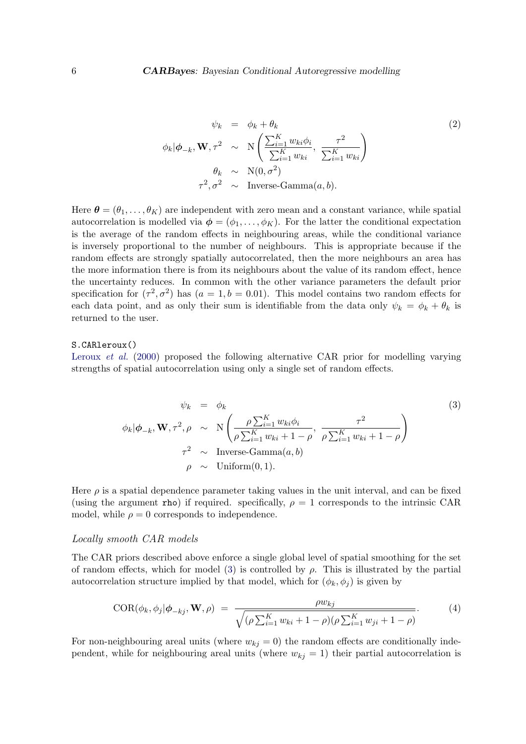$$
\psi_k = \phi_k + \theta_k \tag{2}
$$
\n
$$
\phi_k | \phi_{-k}, \mathbf{W}, \tau^2 \sim N \left( \frac{\sum_{i=1}^K w_{ki} \phi_i}{\sum_{i=1}^K w_{ki}}, \frac{\tau^2}{\sum_{i=1}^K w_{ki}} \right)
$$
\n
$$
\theta_k \sim N(0, \sigma^2) \tag{2}
$$
\n
$$
\tau^2, \sigma^2 \sim \text{Inverse-Gamma}(a, b).
$$

Here  $\boldsymbol{\theta} = (\theta_1, \dots, \theta_K)$  are independent with zero mean and a constant variance, while spatial autocorrelation is modelled via  $\phi = (\phi_1, \ldots, \phi_K)$ . For the latter the conditional expectation is the average of the random effects in neighbouring areas, while the conditional variance is inversely proportional to the number of neighbours. This is appropriate because if the random effects are strongly spatially autocorrelated, then the more neighbours an area has the more information there is from its neighbours about the value of its random effect, hence the uncertainty reduces. In common with the other variance parameters the default prior specification for  $(\tau^2, \sigma^2)$  has  $(a = 1, b = 0.01)$ . This model contains two random effects for each data point, and as only their sum is identifiable from the data only  $\psi_k = \phi_k + \theta_k$  is returned to the user.

### S.CARleroux()

[Leroux](#page-28-4) *et al.* [\(2000\)](#page-28-4) proposed the following alternative CAR prior for modelling varying strengths of spatial autocorrelation using only a single set of random effects.

<span id="page-5-0"></span>
$$
\psi_k = \phi_k \tag{3}
$$
\n
$$
\phi_k | \phi_{-k}, \mathbf{W}, \tau^2, \rho \sim \mathcal{N} \left( \frac{\rho \sum_{i=1}^K w_{ki} \phi_i}{\rho \sum_{i=1}^K w_{ki} + 1 - \rho}, \frac{\tau^2}{\rho \sum_{i=1}^K w_{ki} + 1 - \rho} \right)
$$
\n
$$
\tau^2 \sim \text{Inverse-Gamma}(a, b)
$$
\n
$$
\rho \sim \text{Uniform}(0, 1).
$$
\n(3)

Here  $\rho$  is a spatial dependence parameter taking values in the unit interval, and can be fixed (using the argument rho) if required. specifically,  $\rho = 1$  corresponds to the intrinsic CAR model, while  $\rho = 0$  corresponds to independence.

#### Locally smooth CAR models

The CAR priors described above enforce a single global level of spatial smoothing for the set of random effects, which for model [\(3\)](#page-5-0) is controlled by  $\rho$ . This is illustrated by the partial autocorrelation structure implied by that model, which for  $(\phi_k, \phi_i)$  is given by

<span id="page-5-1"></span>COR
$$
(\phi_k, \phi_j | \phi_{-kj}, \mathbf{W}, \rho)
$$
 = 
$$
\frac{\rho w_{kj}}{\sqrt{(\rho \sum_{i=1}^K w_{ki} + 1 - \rho)(\rho \sum_{i=1}^K w_{ji} + 1 - \rho)}}.
$$
 (4)

For non-neighbouring areal units (where  $w_{kj} = 0$ ) the random effects are conditionally independent, while for neighbouring areal units (where  $w_{kj} = 1$ ) their partial autocorrelation is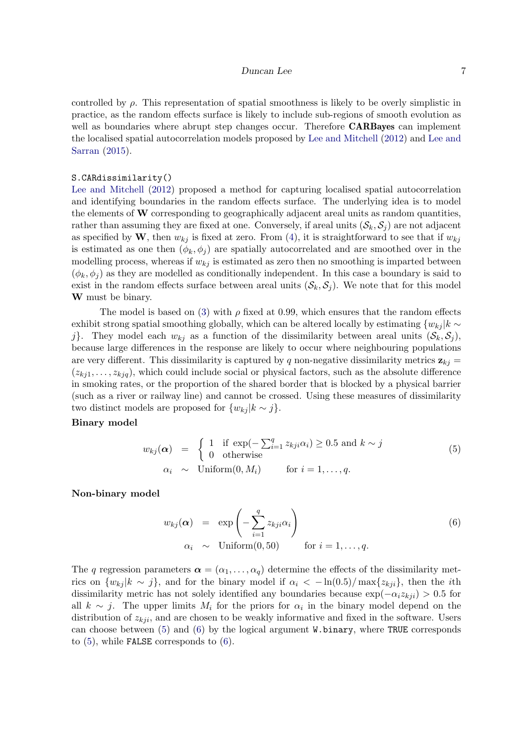controlled by  $\rho$ . This representation of spatial smoothness is likely to be overly simplistic in practice, as the random effects surface is likely to include sub-regions of smooth evolution as well as boundaries where abrupt step changes occur. Therefore **CARBayes** can implement the localised spatial autocorrelation models proposed by [Lee and Mitchell](#page-28-6) [\(2012\)](#page-28-6) and [Lee and](#page-28-11) [Sarran](#page-28-11) [\(2015\)](#page-28-11).

#### S.CARdissimilarity()

[Lee and Mitchell](#page-28-6) [\(2012\)](#page-28-6) proposed a method for capturing localised spatial autocorrelation and identifying boundaries in the random effects surface. The underlying idea is to model the elements of W corresponding to geographically adjacent areal units as random quantities, rather than assuming they are fixed at one. Conversely, if areal units  $(S_k, S_j)$  are not adjacent as specified by W, then  $w_{ki}$  is fixed at zero. From [\(4\)](#page-5-1), it is straightforward to see that if  $w_{ki}$ is estimated as one then  $(\phi_k, \phi_i)$  are spatially autocorrelated and are smoothed over in the modelling process, whereas if  $w_{ki}$  is estimated as zero then no smoothing is imparted between  $(\phi_k, \phi_i)$  as they are modelled as conditionally independent. In this case a boundary is said to exist in the random effects surface between areal units  $(\mathcal{S}_k, \mathcal{S}_j)$ . We note that for this model W must be binary.

The model is based on [\(3\)](#page-5-0) with  $\rho$  fixed at 0.99, which ensures that the random effects exhibit strong spatial smoothing globally, which can be altered locally by estimating  $\{w_{ki} | k \sim$ j. They model each  $w_{ki}$  as a function of the dissimilarity between areal units  $(\mathcal{S}_k, \mathcal{S}_j)$ , because large differences in the response are likely to occur where neighbouring populations are very different. This dissimilarity is captured by q non-negative dissimilarity metrics  $z_{ki}$  =  $(z_{ki1}, \ldots, z_{kiq})$ , which could include social or physical factors, such as the absolute difference in smoking rates, or the proportion of the shared border that is blocked by a physical barrier (such as a river or railway line) and cannot be crossed. Using these measures of dissimilarity two distinct models are proposed for  $\{w_{kj} | k \sim j\}.$ 

#### Binary model

<span id="page-6-0"></span>
$$
w_{kj}(\alpha) = \begin{cases} 1 & \text{if } \exp(-\sum_{i=1}^{q} z_{kji}\alpha_i) \ge 0.5 \text{ and } k \sim j \\ 0 & \text{otherwise} \end{cases}
$$
  
\n
$$
\alpha_i \sim \text{Uniform}(0, M_i) \quad \text{for } i = 1, ..., q.
$$
 (5)

Non-binary model

<span id="page-6-1"></span>
$$
w_{kj}(\alpha) = \exp\left(-\sum_{i=1}^{q} z_{kji}\alpha_i\right)
$$
  
\n
$$
\alpha_i \sim \text{Uniform}(0, 50) \quad \text{for } i = 1, ..., q.
$$
 (6)

The q regression parameters  $\boldsymbol{\alpha} = (\alpha_1, \dots, \alpha_q)$  determine the effects of the dissimilarity metrics on  $\{w_{kj} | k \sim j\}$ , and for the binary model if  $\alpha_i < -\ln(0.5)/\max\{z_{kji}\}\$ , then the *i*th dissimilarity metric has not solely identified any boundaries because  $\exp(-\alpha_i z_{kji}) > 0.5$  for all  $k \sim j$ . The upper limits  $M_i$  for the priors for  $\alpha_i$  in the binary model depend on the distribution of  $z_{kji}$ , and are chosen to be weakly informative and fixed in the software. Users can choose between [\(5\)](#page-6-0) and [\(6\)](#page-6-1) by the logical argument W.binary, where TRUE corresponds to [\(5\)](#page-6-0), while FALSE corresponds to [\(6\)](#page-6-1).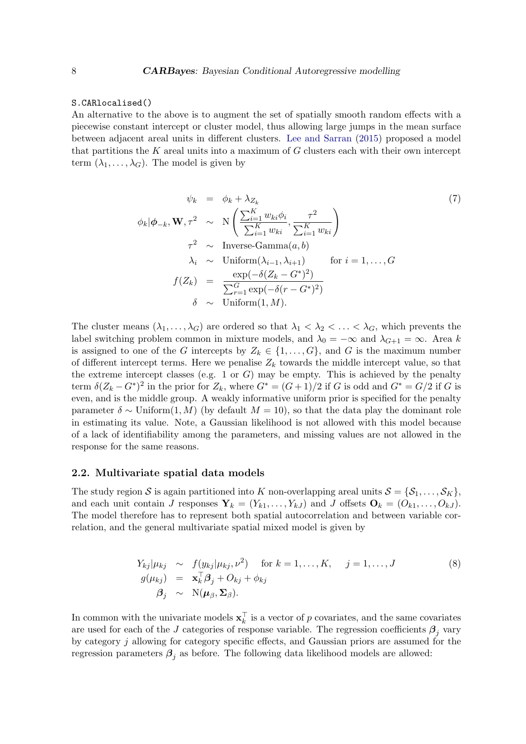#### S.CARlocalised()

An alternative to the above is to augment the set of spatially smooth random effects with a piecewise constant intercept or cluster model, thus allowing large jumps in the mean surface between adjacent areal units in different clusters. [Lee and Sarran](#page-28-11) [\(2015\)](#page-28-11) proposed a model that partitions the K areal units into a maximum of  $G$  clusters each with their own intercept term  $(\lambda_1, \ldots, \lambda_G)$ . The model is given by

$$
\psi_k = \phi_k + \lambda_{Z_k} \tag{7}
$$
\n
$$
\phi_k | \phi_{-k}, \mathbf{W}, \tau^2 \sim \mathcal{N} \left( \frac{\sum_{i=1}^K w_{ki} \phi_i}{\sum_{i=1}^K w_{ki}}, \frac{\tau^2}{\sum_{i=1}^K w_{ki}} \right)
$$
\n
$$
\tau^2 \sim \text{Inverse-Gamma}(a, b)
$$
\n
$$
\lambda_i \sim \text{Uniform}(\lambda_{i-1}, \lambda_{i+1}) \quad \text{for } i = 1, ..., G
$$
\n
$$
f(Z_k) = \frac{\exp(-\delta(Z_k - G^*))}{\sum_{r=1}^G \exp(-\delta(r - G^*)^2)}
$$
\n
$$
\delta \sim \text{Uniform}(1, M).
$$
\n(7)

The cluster means  $(\lambda_1, \ldots, \lambda_G)$  are ordered so that  $\lambda_1 < \lambda_2 < \ldots < \lambda_G$ , which prevents the label switching problem common in mixture models, and  $\lambda_0 = -\infty$  and  $\lambda_{G+1} = \infty$ . Area k is assigned to one of the G intercepts by  $Z_k \in \{1, ..., G\}$ , and G is the maximum number of different intercept terms. Here we penalise  $Z_k$  towards the middle intercept value, so that the extreme intercept classes (e.g. 1 or  $G$ ) may be empty. This is achieved by the penalty term  $\delta(Z_k - G^*)^2$  in the prior for  $Z_k$ , where  $G^* = (G+1)/2$  if G is odd and  $G^* = G/2$  if G is even, and is the middle group. A weakly informative uniform prior is specified for the penalty parameter  $\delta \sim$  Uniform(1, M) (by default  $M = 10$ ), so that the data play the dominant role in estimating its value. Note, a Gaussian likelihood is not allowed with this model because of a lack of identifiability among the parameters, and missing values are not allowed in the response for the same reasons.

### 2.2. Multivariate spatial data models

The study region S is again partitioned into K non-overlapping areal units  $S = \{S_1, \ldots, S_K\}$ , and each unit contain J responses  $\mathbf{Y}_k = (Y_{k1}, \ldots, Y_{kJ})$  and J offsets  $\mathbf{O}_k = (O_{k1}, \ldots, O_{kJ})$ . The model therefore has to represent both spatial autocorrelation and between variable correlation, and the general multivariate spatial mixed model is given by

$$
Y_{kj}|\mu_{kj} \sim f(y_{kj}|\mu_{kj}, \nu^2) \quad \text{for } k = 1, ..., K, \quad j = 1, ..., J
$$
  
\n
$$
g(\mu_{kj}) = \mathbf{x}_k^{\top} \boldsymbol{\beta}_j + O_{kj} + \phi_{kj}
$$
  
\n
$$
\boldsymbol{\beta}_j \sim N(\boldsymbol{\mu}_{\beta}, \boldsymbol{\Sigma}_{\beta}).
$$
\n(8)

In common with the univariate models  $\mathbf{x}_k^{\top}$  $\frac{1}{k}$  is a vector of p covariates, and the same covariates are used for each of the J categories of response variable. The regression coefficients  $\beta_j$  vary by category j allowing for category specific effects, and Gaussian priors are assumed for the regression parameters  $\beta_i$  as before. The following data likelihood models are allowed: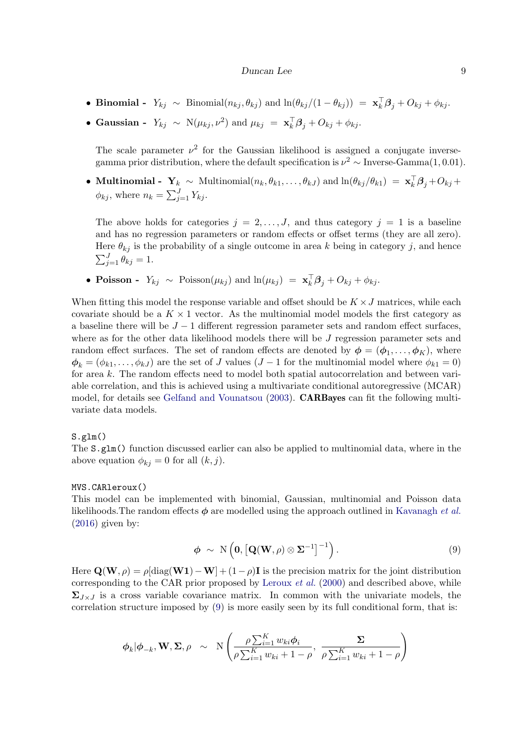- Binomial  $Y_{kj} \sim \text{Binomial}(n_{kj}, \theta_{kj})$  and  $\ln(\theta_{kj}/(1-\theta_{kj})) = \mathbf{x}_k^{\top} \mathbf{\beta}_j + O_{kj} + \phi_{kj}$ .
- Gaussian  $Y_{kj} \sim N(\mu_{kj}, \nu^2)$  and  $\mu_{kj} = \mathbf{x}_k^{\top} \boldsymbol{\beta}_j + O_{kj} + \phi_{kj}$ .

The scale parameter  $\nu^2$  for the Gaussian likelihood is assigned a conjugate inversegamma prior distribution, where the default specification is  $\nu^2 \sim \text{Inverse-Gamma}(1, 0.01)$ .

• **Multinomial** -  $\mathbf{Y}_k \sim \text{Multinomial}(n_k, \theta_{k1}, \dots, \theta_{kJ})$  and  $\ln(\theta_{kj} / \theta_{k1}) = \mathbf{x}_k^{\top} \mathbf{\beta}_j + O_{kj} + \theta_{kj}$  $\phi_{kj}$ , where  $n_k = \sum_{j=1}^{J} Y_{kj}$ .

The above holds for categories  $j = 2, \ldots, J$ , and thus category  $j = 1$  is a baseline and has no regression parameters or random effects or offset terms (they are all zero). Here  $\theta_{kj}$  is the probability of a single outcome in area k being in category j, and hence  $\sum_{j=1}^{J} \theta_{kj} = 1.$ 

• Poisson -  $Y_{kj} \sim \text{Poisson}(\mu_{kj})$  and  $\ln(\mu_{kj}) = \mathbf{x}_k^{\top} \mathbf{\beta}_j + O_{kj} + \phi_{kj}$ .

When fitting this model the response variable and offset should be  $K \times J$  matrices, while each covariate should be a  $K \times 1$  vector. As the multinomial model models the first category as a baseline there will be  $J-1$  different regression parameter sets and random effect surfaces, where as for the other data likelihood models there will be J regression parameter sets and random effect surfaces. The set of random effects are denoted by  $\phi = (\phi_1, \dots, \phi_K)$ , where  $\phi_k = (\phi_{k1}, \ldots, \phi_{kJ})$  are the set of J values  $(J-1$  for the multinomial model where  $\phi_{k1} = 0$ ) for area k. The random effects need to model both spatial autocorrelation and between variable correlation, and this is achieved using a multivariate conditional autoregressive (MCAR) model, for details see [Gelfand and Vounatsou](#page-27-6) [\(2003\)](#page-27-6). CARBayes can fit the following multivariate data models.

#### S.glm()

The S.glm() function discussed earlier can also be applied to multinomial data, where in the above equation  $\phi_{kj} = 0$  for all  $(k, j)$ .

#### MVS.CARleroux()

This model can be implemented with binomial, Gaussian, multinomial and Poisson data likelihoods. The random effects  $\phi$  are modelled using the approach outlined in [Kavanagh](#page-27-7) *et al.*  $(2016)$  given by:

<span id="page-8-0"></span>
$$
\phi \sim \mathrm{N}\left(\mathbf{0}, \left[\mathbf{Q}(\mathbf{W}, \rho) \otimes \mathbf{\Sigma}^{-1}\right]^{-1}\right). \tag{9}
$$

Here  $\mathbf{Q}(\mathbf{W}, \rho) = \rho[\text{diag}(\mathbf{W}\mathbf{1}) - \mathbf{W}] + (1-\rho)\mathbf{I}$  is the precision matrix for the joint distribution corresponding to the CAR prior proposed by [Leroux](#page-28-4) et al. [\(2000\)](#page-28-4) and described above, while  $\Sigma_{J\times J}$  is a cross variable covariance matrix. In common with the univariate models, the correlation structure imposed by [\(9\)](#page-8-0) is more easily seen by its full conditional form, that is:

$$
\phi_k | \phi_{-k}, \mathbf{W}, \Sigma, \rho \sim \mathcal{N}\left(\frac{\rho \sum_{i=1}^K w_{ki} \phi_i}{\rho \sum_{i=1}^K w_{ki} + 1 - \rho}, \frac{\Sigma}{\rho \sum_{i=1}^K w_{ki} + 1 - \rho}\right)
$$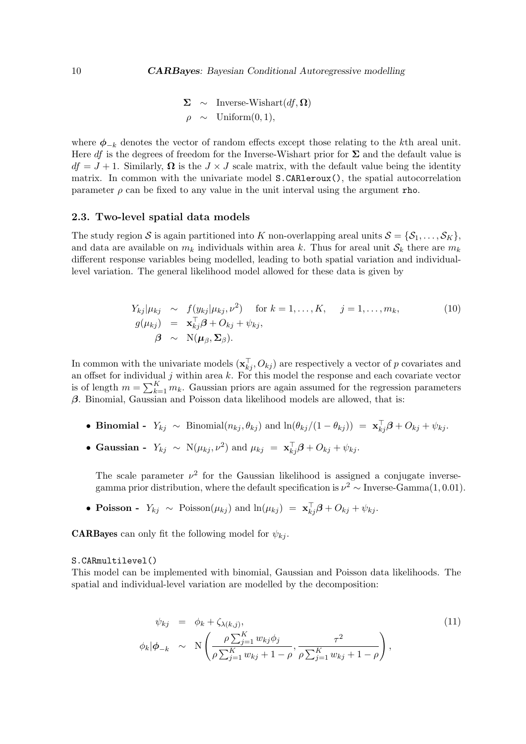$\Sigma \sim$  Inverse-Wishart $(df, \Omega)$  $\rho \sim$  Uniform $(0, 1)$ ,

where  $\phi_{-k}$  denotes the vector of random effects except those relating to the kth areal unit. Here df is the degrees of freedom for the Inverse-Wishart prior for  $\Sigma$  and the default value is  $df = J + 1$ . Similarly,  $\Omega$  is the  $J \times J$  scale matrix, with the default value being the identity matrix. In common with the univariate model S.CARleroux(), the spatial autocorrelation parameter  $\rho$  can be fixed to any value in the unit interval using the argument rho.

### 2.3. Two-level spatial data models

The study region S is again partitioned into K non-overlapping areal units  $S = \{S_1, \ldots, S_K\}$ , and data are available on  $m_k$  individuals within area k. Thus for areal unit  $S_k$  there are  $m_k$ different response variables being modelled, leading to both spatial variation and individuallevel variation. The general likelihood model allowed for these data is given by

$$
Y_{kj}|\mu_{kj} \sim f(y_{kj}|\mu_{kj}, \nu^2) \quad \text{for } k = 1, \dots, K, \quad j = 1, \dots, m_k,
$$
  
\n
$$
g(\mu_{kj}) = \mathbf{x}_{kj}^{\top} \boldsymbol{\beta} + O_{kj} + \psi_{kj},
$$
  
\n
$$
\boldsymbol{\beta} \sim \mathcal{N}(\boldsymbol{\mu}_{\beta}, \boldsymbol{\Sigma}_{\beta}).
$$
\n(10)

In common with the univariate models  $(\mathbf{x}_{kj}^{\top}, O_{kj})$  are respectively a vector of p covariates and an offset for individual  $j$  within area  $k$ . For this model the response and each covariate vector is of length  $m = \sum_{k=1}^{K} m_k$ . Gaussian priors are again assumed for the regression parameters  $\beta$ . Binomial, Gaussian and Poisson data likelihood models are allowed, that is:

- Binomial  $Y_{kj} \sim \text{Binomial}(n_{kj}, \theta_{kj})$  and  $\ln(\theta_{kj}/(1-\theta_{kj})) = \mathbf{x}_{kj}^{\top} \boldsymbol{\beta} + O_{kj} + \psi_{kj}$ .
- Gaussian  $Y_{kj} \sim N(\mu_{kj}, \nu^2)$  and  $\mu_{kj} = \mathbf{x}_{kj}^{\top} \boldsymbol{\beta} + O_{kj} + \psi_{kj}$ .

The scale parameter  $\nu^2$  for the Gaussian likelihood is assigned a conjugate inversegamma prior distribution, where the default specification is  $\nu^2 \sim \text{Inverse-Gamma}(1, 0.01)$ .

• Poisson -  $Y_{kj} \sim \text{Poisson}(\mu_{kj})$  and  $\ln(\mu_{kj}) = \mathbf{x}_{kj}^{\top} \boldsymbol{\beta} + O_{kj} + \psi_{kj}$ .

**CARBayes** can only fit the following model for  $\psi_{ki}$ .

#### S.CARmultilevel()

This model can be implemented with binomial, Gaussian and Poisson data likelihoods. The spatial and individual-level variation are modelled by the decomposition:

$$
\psi_{kj} = \phi_k + \zeta_{\lambda(k,j)},
$$
\n
$$
\phi_k | \phi_{-k} \sim N\left(\frac{\rho \sum_{j=1}^K w_{kj} \phi_j}{\rho \sum_{j=1}^K w_{kj} + 1 - \rho}, \frac{\tau^2}{\rho \sum_{j=1}^K w_{kj} + 1 - \rho}\right),
$$
\n(11)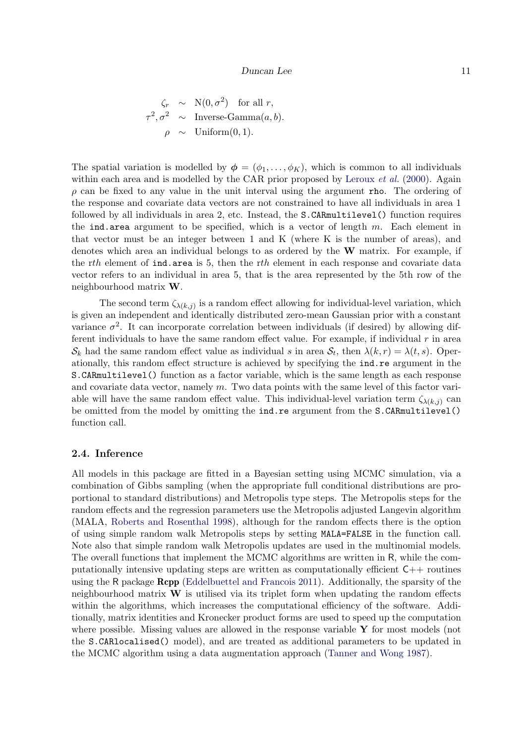$$
\begin{aligned}\n\zeta_r &\sim N(0, \sigma^2) \quad \text{for all } r, \\
\tau^2, \sigma^2 &\sim \text{Inverse-Gamma}(a, b). \\
\rho &\sim \text{Uniform}(0, 1).\n\end{aligned}
$$

The spatial variation is modelled by  $\phi = (\phi_1, \ldots, \phi_K)$ , which is common to all individuals within each area and is modelled by the CAR prior proposed by [Leroux](#page-28-4)  $et \ al.$  [\(2000\)](#page-28-4). Again  $\rho$  can be fixed to any value in the unit interval using the argument rho. The ordering of the response and covariate data vectors are not constrained to have all individuals in area 1 followed by all individuals in area 2, etc. Instead, the S.CARmultilevel() function requires the ind.area argument to be specified, which is a vector of length  $m$ . Each element in that vector must be an integer between 1 and K (where K is the number of areas), and denotes which area an individual belongs to as ordered by the  $W$  matrix. For example, if the rth element of  $\text{ind. area}$  is 5, then the rth element in each response and covariate data vector refers to an individual in area 5, that is the area represented by the 5th row of the neighbourhood matrix W.

The second term  $\zeta_{\lambda(k,j)}$  is a random effect allowing for individual-level variation, which is given an independent and identically distributed zero-mean Gaussian prior with a constant variance  $\sigma^2$ . It can incorporate correlation between individuals (if desired) by allowing different individuals to have the same random effect value. For example, if individual  $r$  in area  $S_k$  had the same random effect value as individual s in area  $S_t$ , then  $\lambda(k,r) = \lambda(t,s)$ . Operationally, this random effect structure is achieved by specifying the ind.re argument in the S.CARmultilevel() function as a factor variable, which is the same length as each response and covariate data vector, namely  $m$ . Two data points with the same level of this factor variable will have the same random effect value. This individual-level variation term  $\zeta_{\lambda(k,j)}$  can be omitted from the model by omitting the ind.re argument from the S.CARmultilevel() function call.

### 2.4. Inference

All models in this package are fitted in a Bayesian setting using MCMC simulation, via a combination of Gibbs sampling (when the appropriate full conditional distributions are proportional to standard distributions) and Metropolis type steps. The Metropolis steps for the random effects and the regression parameters use the Metropolis adjusted Langevin algorithm (MALA, [Roberts and Rosenthal 1998\)](#page-29-9), although for the random effects there is the option of using simple random walk Metropolis steps by setting MALA=FALSE in the function call. Note also that simple random walk Metropolis updates are used in the multinomial models. The overall functions that implement the MCMC algorithms are written in R, while the computationally intensive updating steps are written as computationally efficient  $C_{++}$  routines using the R package Rcpp [\(Eddelbuettel and Francois 2011\)](#page-27-8). Additionally, the sparsity of the neighbourhood matrix  $\bf{W}$  is utilised via its triplet form when updating the random effects within the algorithms, which increases the computational efficiency of the software. Additionally, matrix identities and Kronecker product forms are used to speed up the computation where possible. Missing values are allowed in the response variable  $\bf{Y}$  for most models (not the S.CARlocalised() model), and are treated as additional parameters to be updated in the MCMC algorithm using a data augmentation approach [\(Tanner and Wong 1987\)](#page-29-7).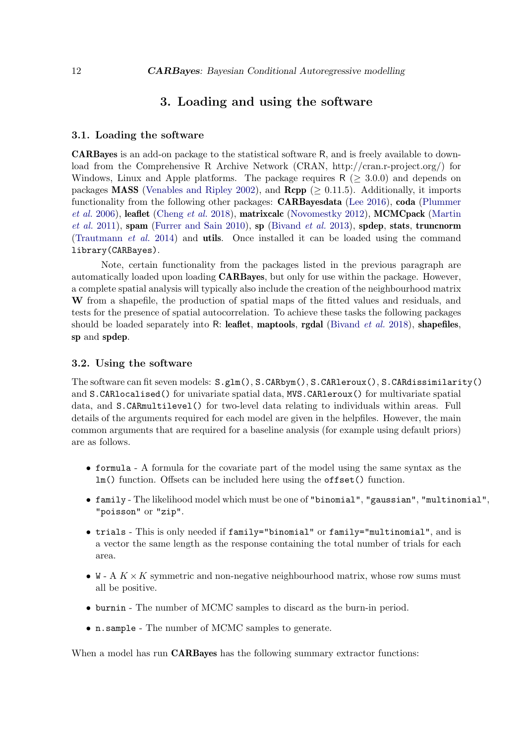# 3. Loading and using the software

### 3.1. Loading the software

CARBayes is an add-on package to the statistical software R, and is freely available to download from the Comprehensive R Archive Network (CRAN, http://cran.r-project.org/) for Windows, Linux and Apple platforms. The package requires  $R \geq 3.0.0$  and depends on packages **MASS** [\(Venables and Ripley 2002\)](#page-29-10), and  $\mathbf{Rcpp}$  ( $> 0.11.5$ ). Additionally, it imports functionality from the following other packages: CARBayesdata [\(Lee 2016\)](#page-28-12), coda [\(Plummer](#page-29-11) [et al.](#page-29-11) [2006\)](#page-29-11), leaflet [\(Cheng](#page-27-9) et al. [2018\)](#page-27-9), matrixcalc [\(Novomestky 2012\)](#page-29-12), MCMCpack [\(Martin](#page-28-13) [et al.](#page-28-13) [2011\)](#page-28-13), spam [\(Furrer and Sain 2010\)](#page-27-10), sp [\(Bivand](#page-27-11) et al. [2013\)](#page-27-11), spdep, stats, truncnorm [\(Trautmann](#page-29-13) et al. [2014\)](#page-29-13) and utils. Once installed it can be loaded using the command library(CARBayes).

Note, certain functionality from the packages listed in the previous paragraph are automatically loaded upon loading **CARBayes**, but only for use within the package. However, a complete spatial analysis will typically also include the creation of the neighbourhood matrix W from a shapefile, the production of spatial maps of the fitted values and residuals, and tests for the presence of spatial autocorrelation. To achieve these tasks the following packages should be loaded separately into R: leaflet, maptools, rgdal [\(Bivand](#page-27-12) *et al.* [2018\)](#page-27-12), shapefiles, sp and spdep.

### 3.2. Using the software

The software can fit seven models: S.glm(), S.CARbym(), S.CARleroux(), S.CARdissimilarity() and S.CARlocalised() for univariate spatial data, MVS.CARleroux() for multivariate spatial data, and S.CARmultilevel() for two-level data relating to individuals within areas. Full details of the arguments required for each model are given in the helpfiles. However, the main common arguments that are required for a baseline analysis (for example using default priors) are as follows.

- formula A formula for the covariate part of the model using the same syntax as the lm() function. Offsets can be included here using the offset() function.
- family The likelihood model which must be one of "binomial", "gaussian", "multinomial", "poisson" or "zip".
- trials This is only needed if family="binomial" or family="multinomial", and is a vector the same length as the response containing the total number of trials for each area.
- W A  $K \times K$  symmetric and non-negative neighbourhood matrix, whose row sums must all be positive.
- burnin The number of MCMC samples to discard as the burn-in period.
- n.sample The number of MCMC samples to generate.

When a model has run **CARBayes** has the following summary extractor functions: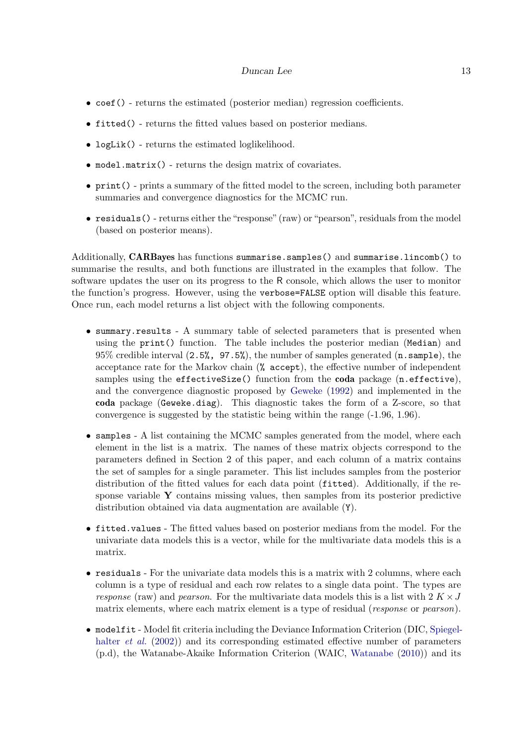- coef() returns the estimated (posterior median) regression coefficients.
- fitted() returns the fitted values based on posterior medians.
- logLik() returns the estimated loglikelihood.
- model.matrix() returns the design matrix of covariates.
- print() prints a summary of the fitted model to the screen, including both parameter summaries and convergence diagnostics for the MCMC run.
- residuals() returns either the "response" (raw) or "pearson", residuals from the model (based on posterior means).

Additionally, CARBayes has functions summarise.samples() and summarise.lincomb() to summarise the results, and both functions are illustrated in the examples that follow. The software updates the user on its progress to the R console, which allows the user to monitor the function's progress. However, using the verbose=FALSE option will disable this feature. Once run, each model returns a list object with the following components.

- summary.results A summary table of selected parameters that is presented when using the print() function. The table includes the posterior median (Median) and 95% credible interval (2.5%, 97.5%), the number of samples generated (n.sample), the acceptance rate for the Markov chain (% accept), the effective number of independent samples using the effectiveSize() function from the coda package (n.effective), and the convergence diagnostic proposed by [Geweke](#page-27-13) [\(1992\)](#page-27-13) and implemented in the coda package (Geweke.diag). This diagnostic takes the form of a Z-score, so that convergence is suggested by the statistic being within the range (-1.96, 1.96).
- samples A list containing the MCMC samples generated from the model, where each element in the list is a matrix. The names of these matrix objects correspond to the parameters defined in Section 2 of this paper, and each column of a matrix contains the set of samples for a single parameter. This list includes samples from the posterior distribution of the fitted values for each data point (fitted). Additionally, if the response variable Y contains missing values, then samples from its posterior predictive distribution obtained via data augmentation are available (Y).
- fitted.values The fitted values based on posterior medians from the model. For the univariate data models this is a vector, while for the multivariate data models this is a matrix.
- residuals For the univariate data models this is a matrix with 2 columns, where each column is a type of residual and each row relates to a single data point. The types are response (raw) and pearson. For the multivariate data models this is a list with  $2 K \times J$ matrix elements, where each matrix element is a type of residual (*response* or *pearson*).
- modelfit Model fit criteria including the Deviance Information Criterion (DIC, [Spiegel](#page-29-14)[halter](#page-29-14) *et al.* [\(2002\)](#page-29-14)) and its corresponding estimated effective number of parameters (p.d), the Watanabe-Akaike Information Criterion (WAIC, [Watanabe](#page-29-15) [\(2010\)](#page-29-15)) and its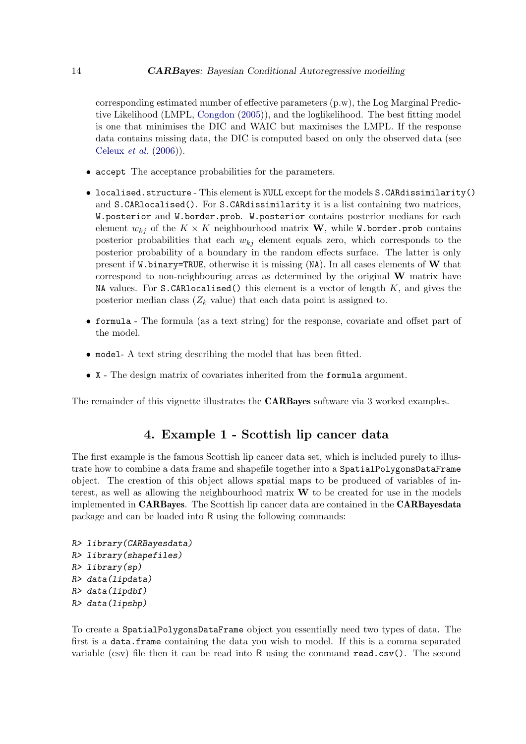corresponding estimated number of effective parameters (p.w), the Log Marginal Predictive Likelihood (LMPL, [Congdon](#page-27-14) [\(2005\)](#page-27-14)), and the loglikelihood. The best fitting model is one that minimises the DIC and WAIC but maximises the LMPL. If the response data contains missing data, the DIC is computed based on only the observed data (see [Celeux](#page-27-15) et al. [\(2006\)](#page-27-15)).

- accept The acceptance probabilities for the parameters.
- localised.structure This element is NULL except for the models S.CARdissimilarity() and S.CARlocalised(). For S.CARdissimilarity it is a list containing two matrices, W.posterior and W.border.prob. W.posterior contains posterior medians for each element  $w_{ki}$  of the  $K \times K$  neighbourhood matrix **W**, while W.border.prob contains posterior probabilities that each  $w_{kj}$  element equals zero, which corresponds to the posterior probability of a boundary in the random effects surface. The latter is only present if W.binary=TRUE, otherwise it is missing (NA). In all cases elements of W that correspond to non-neighbouring areas as determined by the original W matrix have NA values. For  $S$ .CARlocalised() this element is a vector of length  $K$ , and gives the posterior median class  $(Z_k \text{ value})$  that each data point is assigned to.
- formula The formula (as a text string) for the response, covariate and offset part of the model.
- model- A text string describing the model that has been fitted.
- X The design matrix of covariates inherited from the formula argument.

The remainder of this vignette illustrates the **CARBayes** software via 3 worked examples.

# 4. Example 1 - Scottish lip cancer data

The first example is the famous Scottish lip cancer data set, which is included purely to illustrate how to combine a data frame and shapefile together into a SpatialPolygonsDataFrame object. The creation of this object allows spatial maps to be produced of variables of interest, as well as allowing the neighbourhood matrix  $W$  to be created for use in the models implemented in CARBayes. The Scottish lip cancer data are contained in the CARBayesdata package and can be loaded into R using the following commands:

```
R> library(CARBayesdata)
R> library(shapefiles)
R> library(sp)
R> data(lipdata)
R> data(lipdbf)
R> data(lipshp)
```
To create a SpatialPolygonsDataFrame object you essentially need two types of data. The first is a data.frame containing the data you wish to model. If this is a comma separated variable (csv) file then it can be read into R using the command read.csv(). The second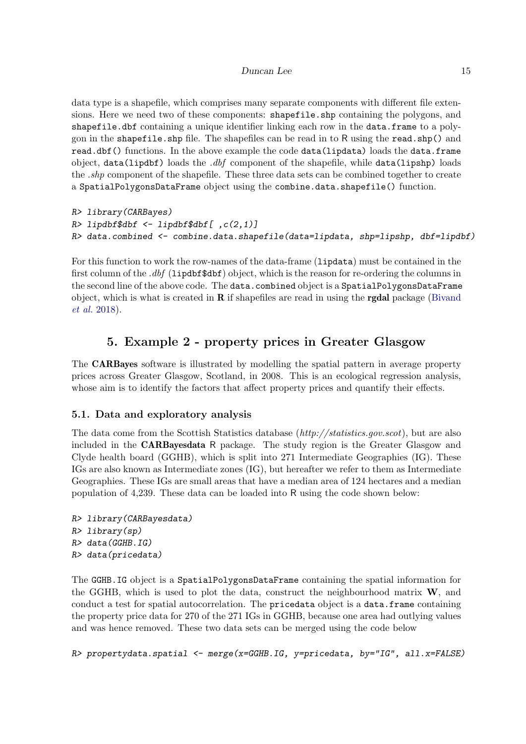data type is a shapefile, which comprises many separate components with different file extensions. Here we need two of these components: shapefile.shp containing the polygons, and shapefile.dbf containing a unique identifier linking each row in the data.frame to a polygon in the shapefile. shp file. The shapefiles can be read in to R using the read. shp() and read.dbf() functions. In the above example the code data(lipdata) loads the data.frame object, data(lipdbf) loads the  $dbf$  component of the shapefile, while data(lipshp) loads the *shp* component of the shapefile. These three data sets can be combined together to create a SpatialPolygonsDataFrame object using the combine.data.shapefile() function.

```
R> library(CARBayes)
R> lipdbf$dbf <- lipdbf$dbf[ ,c(2,1)]
R> data.combined <- combine.data.shapefile(data=lipdata, shp=lipshp, dbf=lipdbf)
```
For this function to work the row-names of the data-frame (lipdata) must be contained in the first column of the .dbf (lipdbf\$dbf) object, which is the reason for re-ordering the columns in the second line of the above code. The data.combined object is a SpatialPolygonsDataFrame object, which is what is created in  **if shapefiles are read in using the <b>rgdal** package [\(Bivand](#page-27-12) [et al.](#page-27-12) [2018\)](#page-27-12).

# 5. Example 2 - property prices in Greater Glasgow

The CARBayes software is illustrated by modelling the spatial pattern in average property prices across Greater Glasgow, Scotland, in 2008. This is an ecological regression analysis, whose aim is to identify the factors that affect property prices and quantify their effects.

# 5.1. Data and exploratory analysis

The data come from the Scottish Statistics database (http://statistics.gov.scot), but are also included in the CARBayesdata R package. The study region is the Greater Glasgow and Clyde health board (GGHB), which is split into 271 Intermediate Geographies (IG). These IGs are also known as Intermediate zones (IG), but hereafter we refer to them as Intermediate Geographies. These IGs are small areas that have a median area of 124 hectares and a median population of 4,239. These data can be loaded into R using the code shown below:

```
R> library(CARBayesdata)
R> library(sp)
R> data(GGHB.IG)
R> data(pricedata)
```
The GGHB.IG object is a SpatialPolygonsDataFrame containing the spatial information for the GGHB, which is used to plot the data, construct the neighbourhood matrix  $W$ , and conduct a test for spatial autocorrelation. The pricedata object is a data.frame containing the property price data for 270 of the 271 IGs in GGHB, because one area had outlying values and was hence removed. These two data sets can be merged using the code below

R> propertydata.spatial <- merge(x=GGHB.IG, y=pricedata, by="IG", all.x=FALSE)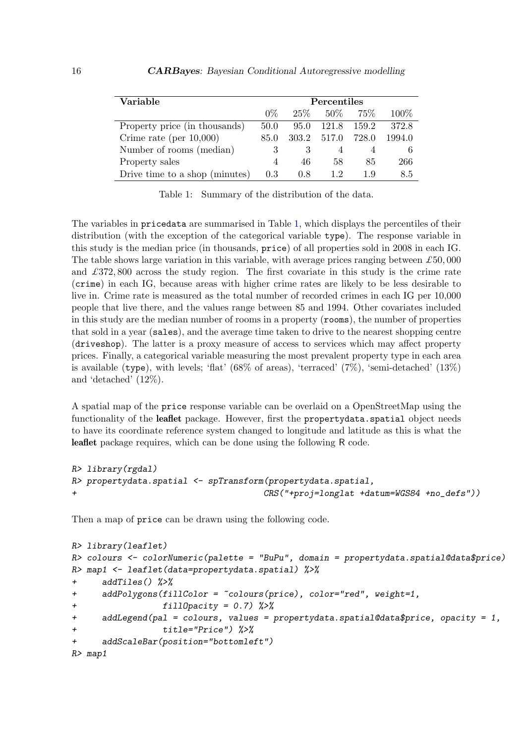| Variable                       | Percentiles |        |        |        |        |
|--------------------------------|-------------|--------|--------|--------|--------|
|                                | $0\%$       | $25\%$ | $50\%$ | $75\%$ | 100\%  |
| Property price (in thousands)  | 50.0        | 95.0   | 121.8  | 159.2  | 372.8  |
| Crime rate (per $10,000$ )     | 85.0        | 303.2  | 517.0  | 728.0  | 1994.0 |
| Number of rooms (median)       | 3           |        |        |        |        |
| Property sales                 | 4           | 46     | 58     | 85     | 266    |
| Drive time to a shop (minutes) | 0.3         | 0.8    | 12     | 1.9    | 8.5    |

<span id="page-15-0"></span>Table 1: Summary of the distribution of the data.

The variables in pricedata are summarised in Table [1,](#page-15-0) which displays the percentiles of their distribution (with the exception of the categorical variable type). The response variable in this study is the median price (in thousands, price) of all properties sold in 2008 in each IG. The table shows large variation in this variable, with average prices ranging between  $\pounds 50,000$ and  $\pounds 372,800$  across the study region. The first covariate in this study is the crime rate (crime) in each IG, because areas with higher crime rates are likely to be less desirable to live in. Crime rate is measured as the total number of recorded crimes in each IG per 10,000 people that live there, and the values range between 85 and 1994. Other covariates included in this study are the median number of rooms in a property (rooms), the number of properties that sold in a year (sales), and the average time taken to drive to the nearest shopping centre (driveshop). The latter is a proxy measure of access to services which may affect property prices. Finally, a categorical variable measuring the most prevalent property type in each area is available (type), with levels; 'flat'  $(68\% \text{ of areas})$ , 'terraced'  $(7\%)$ , 'semi-detached'  $(13\%)$ and 'detached' (12%).

A spatial map of the price response variable can be overlaid on a OpenStreetMap using the functionality of the leaflet package. However, first the propertydata.spatial object needs to have its coordinate reference system changed to longitude and latitude as this is what the leaflet package requires, which can be done using the following R code.

```
R> library(rgdal)
R> propertydata.spatial <- spTransform(propertydata.spatial,
+ CRS("+proj=longlat +datum=WGS84 +no_defs"))
```
Then a map of price can be drawn using the following code.

```
R> library(leaflet)
R> colours <- colorNumeric(palette = "BuPu", domain = propertydata.spatial@data$price)
R> map1 <- leaflet(data=propertydata.spatial) %>%
+ addTiles() %>%
+ addPolygons(fillColor = ~colours(price), color="red", weight=1,
+ fillOpacity = 0.7) %>%
+ addLegend(pal = colours, values = propertydata.spatial@data$price, opacity = 1,
                 + title="Price") %>%
+ addScaleBar(position="bottomleft")
R> map1
```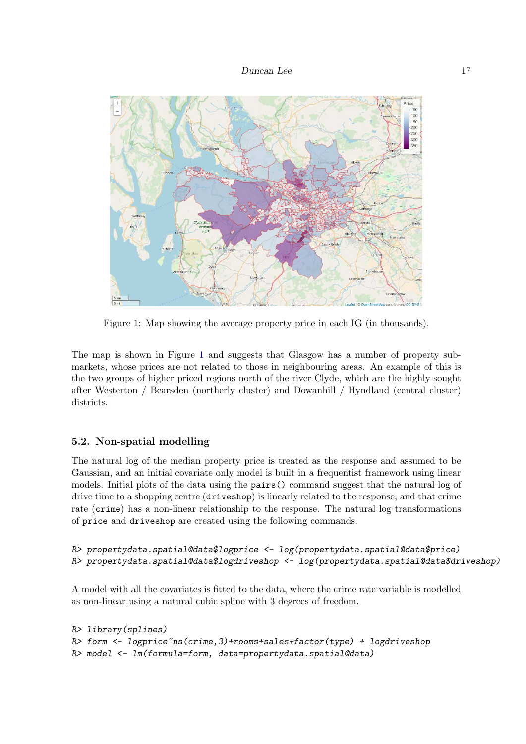

<span id="page-16-0"></span>Figure 1: Map showing the average property price in each IG (in thousands).

The map is shown in Figure [1](#page-16-0) and suggests that Glasgow has a number of property submarkets, whose prices are not related to those in neighbouring areas. An example of this is the two groups of higher priced regions north of the river Clyde, which are the highly sought after Westerton / Bearsden (northerly cluster) and Dowanhill / Hyndland (central cluster) districts.

### 5.2. Non-spatial modelling

The natural log of the median property price is treated as the response and assumed to be Gaussian, and an initial covariate only model is built in a frequentist framework using linear models. Initial plots of the data using the pairs() command suggest that the natural log of drive time to a shopping centre (driveshop) is linearly related to the response, and that crime rate (crime) has a non-linear relationship to the response. The natural log transformations of price and driveshop are created using the following commands.

```
R> propertydata.spatial@data$logprice <- log(propertydata.spatial@data$price)
R> propertydata.spatial@data$logdriveshop <- log(propertydata.spatial@data$driveshop)
```
A model with all the covariates is fitted to the data, where the crime rate variable is modelled as non-linear using a natural cubic spline with 3 degrees of freedom.

```
R> library(splines)
R> form <- logprice~ns(crime,3)+rooms+sales+factor(type) + logdriveshop
R> model <- lm(formula=form, data=propertydata.spatial@data)
```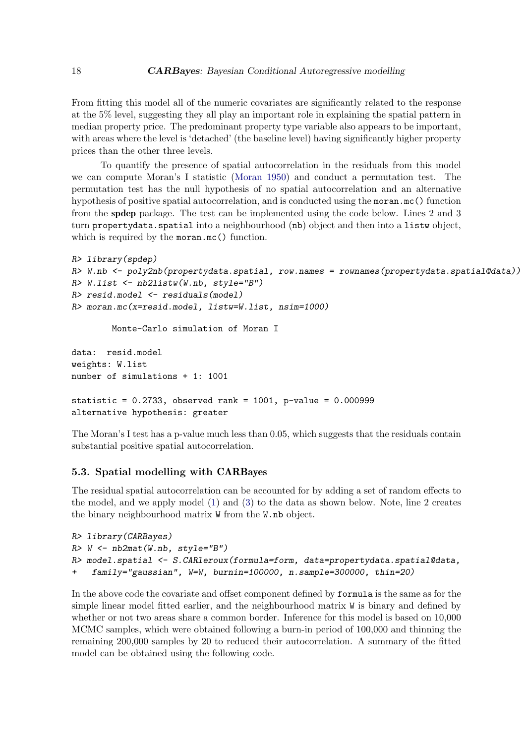From fitting this model all of the numeric covariates are significantly related to the response at the 5% level, suggesting they all play an important role in explaining the spatial pattern in median property price. The predominant property type variable also appears to be important, with areas where the level is 'detached' (the baseline level) having significantly higher property prices than the other three levels.

To quantify the presence of spatial autocorrelation in the residuals from this model we can compute Moran's I statistic [\(Moran 1950\)](#page-28-14) and conduct a permutation test. The permutation test has the null hypothesis of no spatial autocorrelation and an alternative hypothesis of positive spatial autocorrelation, and is conducted using the moran.mc() function from the spdep package. The test can be implemented using the code below. Lines 2 and 3 turn propertydata.spatial into a neighbourhood (nb) object and then into a listw object, which is required by the moran.mc() function.

```
R> library(spdep)
R> W.nb <- poly2nb(propertydata.spatial, row.names = rownames(propertydata.spatial@data))
R> W.list <- nb2listw(W.nb, style="B")
R> resid.model <- residuals(model)
R> moran.mc(x=resid.model, listw=W.list, nsim=1000)
       Monte-Carlo simulation of Moran I
data: resid.model
weights: W.list
number of simulations + 1: 1001
statistic = 0.2733, observed rank = 1001, p-value = 0.000999alternative hypothesis: greater
```
The Moran's I test has a p-value much less than 0.05, which suggests that the residuals contain substantial positive spatial autocorrelation.

### 5.3. Spatial modelling with CARBayes

The residual spatial autocorrelation can be accounted for by adding a set of random effects to the model, and we apply model [\(1\)](#page-2-0) and [\(3\)](#page-5-0) to the data as shown below. Note, line 2 creates the binary neighbourhood matrix W from the W.nb object.

```
R> library(CARBayes)
R > W < -nb2mat(W.nb, style="B"')R> model.spatial <- S.CARleroux(formula=form, data=propertydata.spatial@data,
+ family="gaussian", W=W, burnin=100000, n.sample=300000, thin=20)
```
In the above code the covariate and offset component defined by formula is the same as for the simple linear model fitted earlier, and the neighbourhood matrix W is binary and defined by whether or not two areas share a common border. Inference for this model is based on 10,000 MCMC samples, which were obtained following a burn-in period of 100,000 and thinning the remaining 200,000 samples by 20 to reduced their autocorrelation. A summary of the fitted model can be obtained using the following code.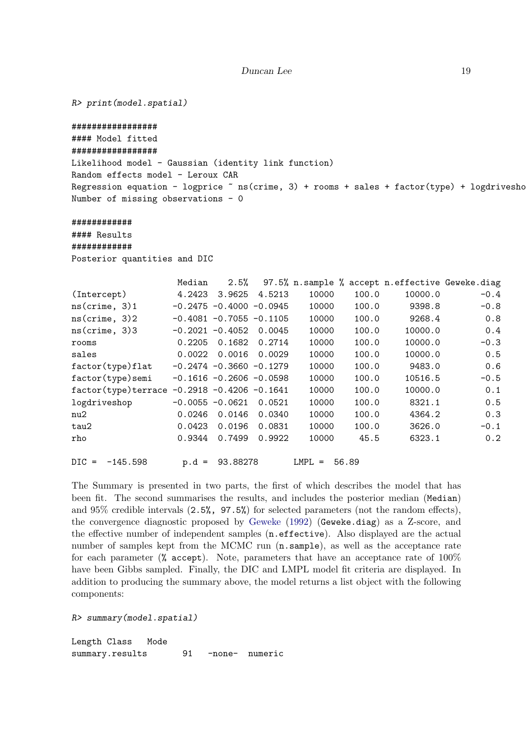```
R> print(model.spatial)
#################
#### Model fitted
#################
Likelihood model - Gaussian (identity link function)
Random effects model - Leroux CAR
Regression equation - logprice \tilde{ } ns(crime, 3) + rooms + sales + factor(type) + logdrivesho
Number of missing observations - 0
############
#### Results
############
Posterior quantities and DIC
                Median 2.5% 97.5% n.sample % accept n.effective Geweke.diag
(Intercept) 4.2423 3.9625 4.5213 10000 100.0 10000.0 -0.4
ns(crime, 3)1 -0.2475 -0.4000 -0.0945 10000 100.0 9398.8 -0.8
ns(crime, 3)2 -0.4081 -0.7055 -0.1105 10000 100.0 9268.4 0.8
ns(crime, 3)3 -0.2021 -0.4052 0.0045 10000 100.0 10000.0 0.4
rooms 0.2205 0.1682 0.2714 10000 100.0 10000.0 -0.3
sales 0.0022 0.0016 0.0029 10000 100.0 10000.0 0.5
factor(type)flat -0.2474 -0.3660 -0.1279 10000 100.0 9483.0 0.6
factor(type)semi -0.1616 -0.2606 -0.0598 10000 100.0 10516.5 -0.5
factor(type)terrace -0.2918 -0.4206 -0.1641 10000 100.0 10000.0 0.1
logdriveshop -0.0055 -0.0621 0.0521 10000 100.0 8321.1 0.5
nu2 0.0246 0.0146 0.0340 10000 100.0 4364.2 0.3
tau2 0.0423 0.0196 0.0831 10000 100.0 3626.0 -0.1
rho 0.9344 0.7499 0.9922 10000 45.5 6323.1 0.2
DIC = -145.598 p.d = 93.88278 LMPL = 56.89
```
The Summary is presented in two parts, the first of which describes the model that has been fit. The second summarises the results, and includes the posterior median (Median) and 95% credible intervals (2.5%, 97.5%) for selected parameters (not the random effects), the convergence diagnostic proposed by [Geweke](#page-27-13) [\(1992\)](#page-27-13) (Geweke.diag) as a Z-score, and the effective number of independent samples (n.effective). Also displayed are the actual number of samples kept from the MCMC run  $(n \cdot \text{sample})$ , as well as the acceptance rate for each parameter ( $\%$  accept). Note, parameters that have an acceptance rate of  $100\%$ have been Gibbs sampled. Finally, the DIC and LMPL model fit criteria are displayed. In addition to producing the summary above, the model returns a list object with the following components:

R> summary(model.spatial)

Length Class Mode summary.results 91 -none- numeric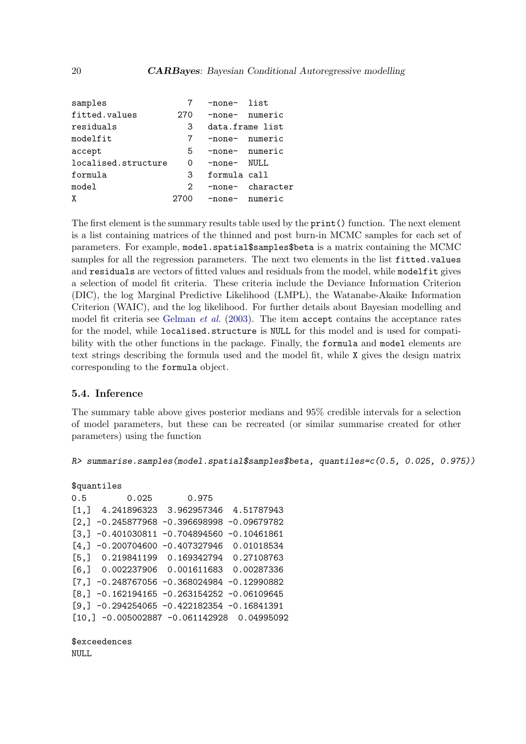| samples             |      | -none- list       |                  |  |  |
|---------------------|------|-------------------|------------------|--|--|
| fitted.values       | 270  | -none- numeric    |                  |  |  |
| residuals           | 3    |                   | data.frame list  |  |  |
| modelfit            | 7    |                   | -none- numeric   |  |  |
| accept              | 5    | -none- numeric    |                  |  |  |
| localised.structure | 0    | $-$ none $-$ NULL |                  |  |  |
| formula             | 3    | formula call      |                  |  |  |
| model               | 2    |                   | -none- character |  |  |
| χ                   | 2700 | -none- numeric    |                  |  |  |

The first element is the summary results table used by the **print** () function. The next element is a list containing matrices of the thinned and post burn-in MCMC samples for each set of parameters. For example, model.spatial\$samples\$beta is a matrix containing the MCMC samples for all the regression parameters. The next two elements in the list fitted.values and residuals are vectors of fitted values and residuals from the model, while modelfit gives a selection of model fit criteria. These criteria include the Deviance Information Criterion (DIC), the log Marginal Predictive Likelihood (LMPL), the Watanabe-Akaike Information Criterion (WAIC), and the log likelihood. For further details about Bayesian modelling and model fit criteria see [Gelman](#page-27-16) et al. [\(2003\)](#page-27-16). The item accept contains the acceptance rates for the model, while localised.structure is NULL for this model and is used for compatibility with the other functions in the package. Finally, the formula and model elements are text strings describing the formula used and the model fit, while X gives the design matrix corresponding to the formula object.

### 5.4. Inference

The summary table above gives posterior medians and 95% credible intervals for a selection of model parameters, but these can be recreated (or similar summarise created for other parameters) using the function

```
R> summarise.samples(model.spatial$samples$beta, quantiles=c(0.5, 0.025, 0.975))
```
#### \$quantiles

|       | 0.025<br>0.5                                  | 0.975 |  |
|-------|-----------------------------------------------|-------|--|
|       | $[1,]$ 4.241896323 3.962957346 4.51787943     |       |  |
|       | $[2,]$ -0.245877968 -0.396698998 -0.09679782  |       |  |
|       | $[3,]$ -0.401030811 -0.704894560 -0.10461861  |       |  |
| [4.1] | $-0.200704600 -0.407327946 0.01018534$        |       |  |
|       | $[5,]$ 0.219841199 0.169342794 0.27108763     |       |  |
|       | $[6,]$ 0.002237906 0.001611683 0.00287336     |       |  |
|       | $[7,] -0.248767056 -0.368024984 -0.12990882$  |       |  |
|       | $[8, ] -0.162194165 -0.263154252 -0.06109645$ |       |  |
|       | $[9, ] -0.294254065 -0.422182354 -0.16841391$ |       |  |
|       | $[10, ] -0.005002887 -0.061142928 0.04995092$ |       |  |

\$exceedences NULL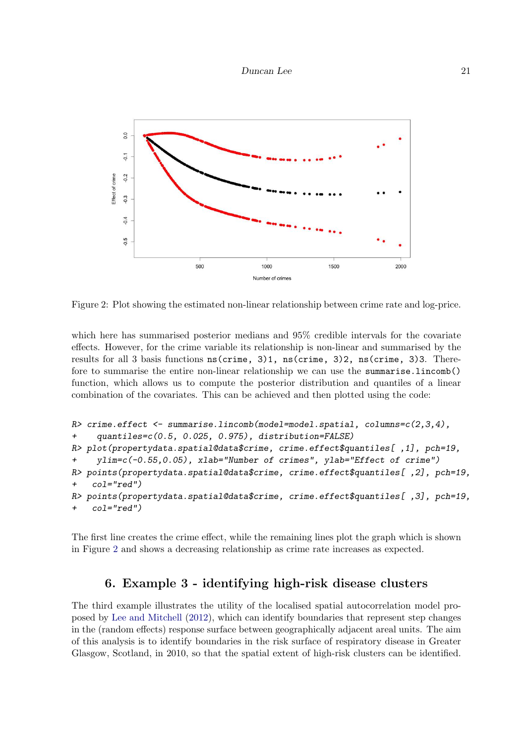

<span id="page-20-0"></span>Figure 2: Plot showing the estimated non-linear relationship between crime rate and log-price.

which here has summarised posterior medians and 95% credible intervals for the covariate effects. However, for the crime variable its relationship is non-linear and summarised by the results for all 3 basis functions ns(crime, 3)1, ns(crime, 3)2, ns(crime, 3)3. Therefore to summarise the entire non-linear relationship we can use the summarise.lincomb() function, which allows us to compute the posterior distribution and quantiles of a linear combination of the covariates. This can be achieved and then plotted using the code:

```
R> crime.effect <- summarise.lincomb(model=model.spatial, columns=c(2,3,4),
+ quantiles=c(0.5, 0.025, 0.975), distribution=FALSE)
R> plot(propertydata.spatial@data$crime, crime.effect$quantiles[ ,1], pch=19,
+ ylim=c(-0.55,0.05), xlab="Number of crimes", ylab="Effect of crime")
R> points(propertydata.spatial@data$crime, crime.effect$quantiles[ ,2], pch=19,
+ col="red")
R> points(propertydata.spatial@data$crime, crime.effect$quantiles[ ,3], pch=19,
    col="red")
```
The first line creates the crime effect, while the remaining lines plot the graph which is shown in Figure [2](#page-20-0) and shows a decreasing relationship as crime rate increases as expected.

# 6. Example 3 - identifying high-risk disease clusters

The third example illustrates the utility of the localised spatial autocorrelation model proposed by [Lee and Mitchell](#page-28-6) [\(2012\)](#page-28-6), which can identify boundaries that represent step changes in the (random effects) response surface between geographically adjacent areal units. The aim of this analysis is to identify boundaries in the risk surface of respiratory disease in Greater Glasgow, Scotland, in 2010, so that the spatial extent of high-risk clusters can be identified.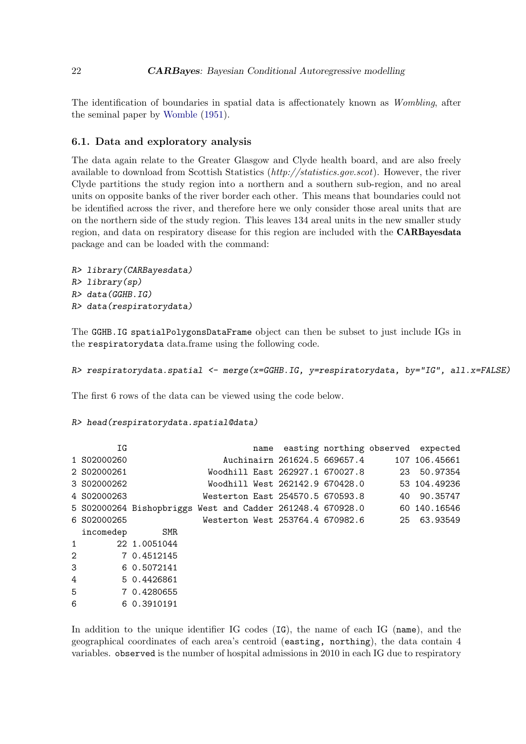The identification of boundaries in spatial data is affectionately known as Wombling, after the seminal paper by [Womble](#page-30-0) [\(1951\)](#page-30-0).

### 6.1. Data and exploratory analysis

The data again relate to the Greater Glasgow and Clyde health board, and are also freely available to download from Scottish Statistics (http://statistics.gov.scot). However, the river Clyde partitions the study region into a northern and a southern sub-region, and no areal units on opposite banks of the river border each other. This means that boundaries could not be identified across the river, and therefore here we only consider those areal units that are on the northern side of the study region. This leaves 134 areal units in the new smaller study region, and data on respiratory disease for this region are included with the CARBayesdata package and can be loaded with the command:

```
R> library(CARBayesdata)
R> library(sp)
R> data(GGHB.IG)
R> data(respiratorydata)
```
The GGHB.IG spatialPolygonsDataFrame object can then be subset to just include IGs in the respiratorydata data.frame using the following code.

R> respiratorydata.spatial <- merge(x=GGHB.IG, y=respiratorydata, by="IG", all.x=FALSE)

The first 6 rows of the data can be viewed using the code below.

R> head(respiratorydata.spatial@data)

|   | ΙG          |                                                                         |                                              |  |                                 | name easting northing observed expected     |
|---|-------------|-------------------------------------------------------------------------|----------------------------------------------|--|---------------------------------|---------------------------------------------|
|   | 1 S02000260 |                                                                         |                                              |  | Auchinairn 261624.5 669657.4    | 107 106.45661                               |
|   | 2 S02000261 |                                                                         |                                              |  |                                 | Woodhill East 262927.1 670027.8 23 50.97354 |
|   | 3 S02000262 |                                                                         |                                              |  | Woodhill West 262142.9 670428.0 | 53 104.49236                                |
|   | 4 S02000263 |                                                                         | Westerton East 254570.5 670593.8             |  |                                 | 40 90.35747                                 |
|   |             | 5 S02000264 Bishopbriggs West and Cadder 261248.4 670928.0 60 140.16546 |                                              |  |                                 |                                             |
|   | 6 S02000265 |                                                                         | Westerton West 253764.4 670982.6 25 63.93549 |  |                                 |                                             |
|   | incomedep   | SMR                                                                     |                                              |  |                                 |                                             |
| 1 |             | 22 1.0051044                                                            |                                              |  |                                 |                                             |
| 2 |             | 7 0.4512145                                                             |                                              |  |                                 |                                             |
| 3 |             | 6 0.5072141                                                             |                                              |  |                                 |                                             |
| 4 |             | 5 0.4426861                                                             |                                              |  |                                 |                                             |
| 5 |             | 7 0.4280655                                                             |                                              |  |                                 |                                             |
| 6 |             | 6 0.3910191                                                             |                                              |  |                                 |                                             |
|   |             |                                                                         |                                              |  |                                 |                                             |

In addition to the unique identifier IG codes (IG), the name of each IG (name), and the geographical coordinates of each area's centroid (easting, northing), the data contain 4 variables. observed is the number of hospital admissions in 2010 in each IG due to respiratory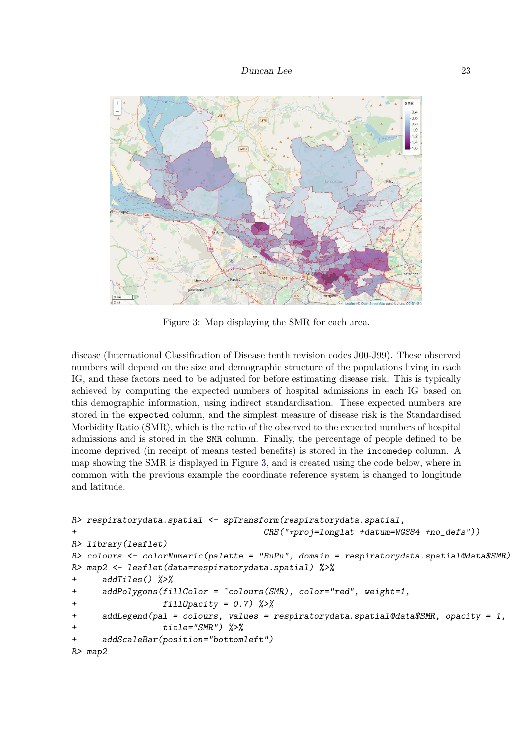

<span id="page-22-0"></span>Figure 3: Map displaying the SMR for each area.

disease (International Classification of Disease tenth revision codes J00-J99). These observed numbers will depend on the size and demographic structure of the populations living in each IG, and these factors need to be adjusted for before estimating disease risk. This is typically achieved by computing the expected numbers of hospital admissions in each IG based on this demographic information, using indirect standardisation. These expected numbers are stored in the expected column, and the simplest measure of disease risk is the Standardised Morbidity Ratio (SMR), which is the ratio of the observed to the expected numbers of hospital admissions and is stored in the SMR column. Finally, the percentage of people defined to be income deprived (in receipt of means tested benefits) is stored in the incomedep column. A map showing the SMR is displayed in Figure [3,](#page-22-0) and is created using the code below, where in common with the previous example the coordinate reference system is changed to longitude and latitude.

```
R> respiratorydata.spatial <- spTransform(respiratorydata.spatial,
+ CRS("+proj=longlat +datum=WGS84 +no_defs"))
R> library(leaflet)
R> colours <- colorNumeric(palette = "BuPu", domain = respiratorydata.spatial@data$SMR)
R> map2 <- leaflet(data=respiratorydata.spatial) %>%
+ addTiles() %>%
     addPolygons(fillColor = ^{\sim}colours(SMR), color='red", weight=1,fillDparity = 0.7) %>%
+ addLegend(pal = colours, values = respiratorydata.spatial@data$SMR, opacity = 1,
                 + title="SMR") %>%
+ addScaleBar(position="bottomleft")
R> map2
```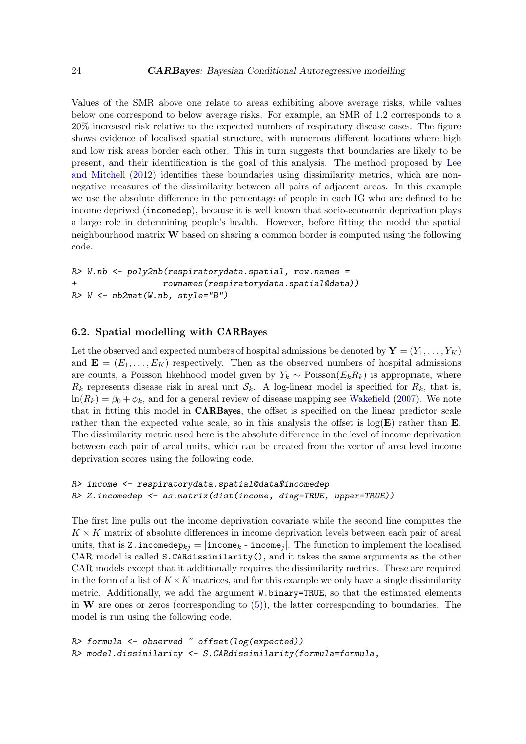Values of the SMR above one relate to areas exhibiting above average risks, while values below one correspond to below average risks. For example, an SMR of 1.2 corresponds to a 20% increased risk relative to the expected numbers of respiratory disease cases. The figure shows evidence of localised spatial structure, with numerous different locations where high and low risk areas border each other. This in turn suggests that boundaries are likely to be present, and their identification is the goal of this analysis. The method proposed by [Lee](#page-28-6) [and Mitchell](#page-28-6) [\(2012\)](#page-28-6) identifies these boundaries using dissimilarity metrics, which are nonnegative measures of the dissimilarity between all pairs of adjacent areas. In this example we use the absolute difference in the percentage of people in each IG who are defined to be income deprived (incomedep), because it is well known that socio-economic deprivation plays a large role in determining people's health. However, before fitting the model the spatial neighbourhood matrix  $W$  based on sharing a common border is computed using the following code.

```
R> W.nb <- poly2nb(respiratorydata.spatial, row.names =
+ rownames(respiratorydata.spatial@data))
R > W \leftarrow nb2mat(W.nb, style="B")
```
### 6.2. Spatial modelling with CARBayes

Let the observed and expected numbers of hospital admissions be denoted by  $\mathbf{Y} = (Y_1, \ldots, Y_K)$ and  $\mathbf{E} = (E_1, \ldots, E_K)$  respectively. Then as the observed numbers of hospital admissions are counts, a Poisson likelihood model given by  $Y_k \sim \text{Poisson}(E_k R_k)$  is appropriate, where  $R_k$  represents disease risk in areal unit  $S_k$ . A log-linear model is specified for  $R_k$ , that is,  $ln(R_k) = \beta_0 + \phi_k$ , and for a general review of disease mapping see [Wakefield](#page-29-1) [\(2007\)](#page-29-1). We note that in fitting this model in CARBayes, the offset is specified on the linear predictor scale rather than the expected value scale, so in this analysis the offset is  $log(E)$  rather than E. The dissimilarity metric used here is the absolute difference in the level of income deprivation between each pair of areal units, which can be created from the vector of area level income deprivation scores using the following code.

```
R> income <- respiratorydata.spatial@data$incomedep
R> Z.incomedep <- as.matrix(dist(income, diag=TRUE, upper=TRUE))
```
The first line pulls out the income deprivation covariate while the second line computes the  $K \times K$  matrix of absolute differences in income deprivation levels between each pair of areal units, that is Z.incomedep $k_i = |\text{income}_k - \text{income}_i|$ . The function to implement the localised CAR model is called S.CARdissimilarity(), and it takes the same arguments as the other CAR models except that it additionally requires the dissimilarity metrics. These are required in the form of a list of  $K \times K$  matrices, and for this example we only have a single dissimilarity metric. Additionally, we add the argument W.binary=TRUE, so that the estimated elements in  $W$  are ones or zeros (corresponding to  $(5)$ ), the latter corresponding to boundaries. The model is run using the following code.

```
R> formula <- observed \tilde{ } offset(log(expected))
R> model.dissimilarity <- S.CARdissimilarity(formula=formula,
```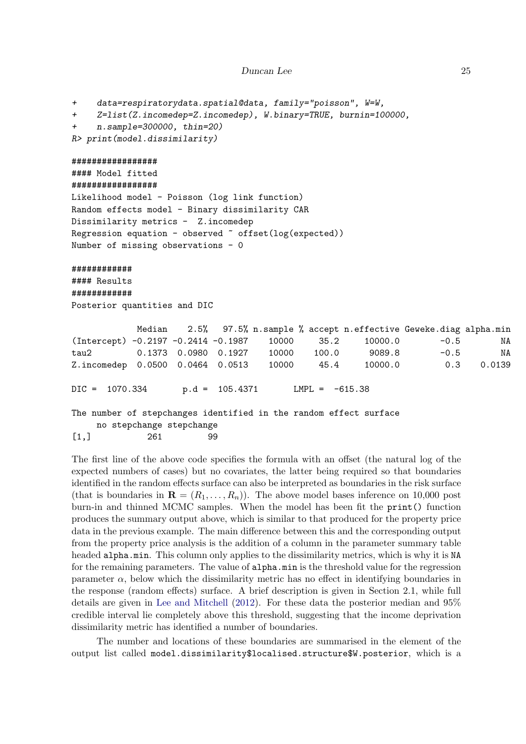```
+ data=respiratorydata.spatial@data, family="poisson", W=W,
+ Z=list(Z.incomedep=Z.incomedep), W.binary=TRUE, burnin=100000,
    n.sample=300000, thin=20)
R> print(model.dissimilarity)
#################
#### Model fitted
#################
Likelihood model - Poisson (log link function)
Random effects model - Binary dissimilarity CAR
Dissimilarity metrics - Z.incomedep
Regression equation - observed ~ offset(log(expected))
Number of missing observations - 0
############
#### Results
############
Posterior quantities and DIC
           Median 2.5% 97.5% n.sample % accept n.effective Geweke.diag alpha.min
(Intercept) -0.2197 -0.2414 -0.1987 10000 35.2 10000.0 -0.5 NA
tau2 0.1373 0.0980 0.1927 10000 100.0 9089.8 -0.5 NA
Z.incomedep 0.0500 0.0464 0.0513 10000 45.4 10000.0 0.3 0.0139
DIC = 1070.334 p.d = 105.4371 LMPL = -615.38The number of stepchanges identified in the random effect surface
    no stepchange stepchange
[1,] 261 99
```
The first line of the above code specifies the formula with an offset (the natural log of the expected numbers of cases) but no covariates, the latter being required so that boundaries identified in the random effects surface can also be interpreted as boundaries in the risk surface (that is boundaries in  $\mathbf{R} = (R_1, \ldots, R_n)$ ). The above model bases inference on 10,000 post burn-in and thinned MCMC samples. When the model has been fit the print() function produces the summary output above, which is similar to that produced for the property price data in the previous example. The main difference between this and the corresponding output from the property price analysis is the addition of a column in the parameter summary table headed alpha.min. This column only applies to the dissimilarity metrics, which is why it is NA for the remaining parameters. The value of alpha.min is the threshold value for the regression parameter  $\alpha$ , below which the dissimilarity metric has no effect in identifying boundaries in the response (random effects) surface. A brief description is given in Section 2.1, while full details are given in [Lee and Mitchell](#page-28-6) [\(2012\)](#page-28-6). For these data the posterior median and 95% credible interval lie completely above this threshold, suggesting that the income deprivation dissimilarity metric has identified a number of boundaries.

The number and locations of these boundaries are summarised in the element of the output list called model.dissimilarity\$localised.structure\$W.posterior, which is a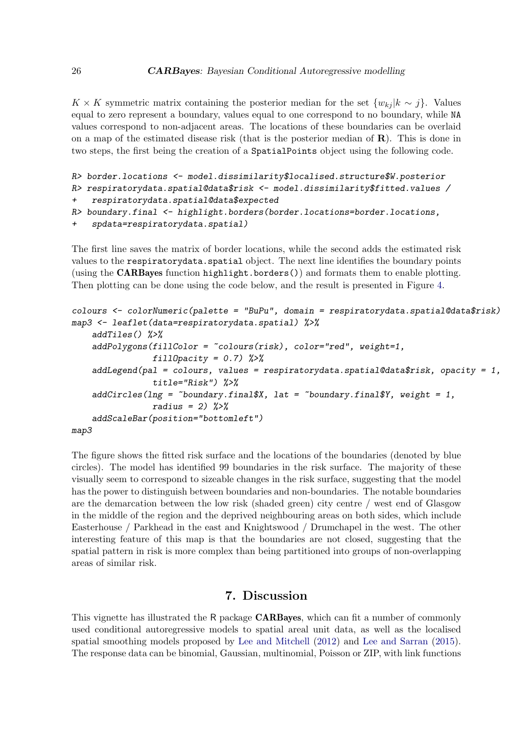K × K symmetric matrix containing the posterior median for the set  $\{w_{kj} | k \sim j\}$ . Values equal to zero represent a boundary, values equal to one correspond to no boundary, while NA values correspond to non-adjacent areas. The locations of these boundaries can be overlaid on a map of the estimated disease risk (that is the posterior median of  $\mathbf{R}$ ). This is done in two steps, the first being the creation of a SpatialPoints object using the following code.

```
R> border.locations <- model.dissimilarity$localised.structure$W.posterior
```

```
R> respiratorydata.spatial@data$risk <- model.dissimilarity$fitted.values /
```

```
+ respiratorydata.spatial@data$expected
```

```
R> boundary.final <- highlight.borders(border.locations=border.locations,
```
+ spdata=respiratorydata.spatial)

The first line saves the matrix of border locations, while the second adds the estimated risk values to the respiratorydata.spatial object. The next line identifies the boundary points (using the CARBayes function highlight.borders()) and formats them to enable plotting. Then plotting can be done using the code below, and the result is presented in Figure [4.](#page-26-1)

```
colours <- colorNumeric(palette = "BuPu", domain = respiratorydata.spatial@data$risk)
map3 <- leaflet(data=respiratorydata.spatial) %>%
    addTiles() %>%
    addPolygons(fillColor = ~colours(risk), color="red", weight=1,
                  fillDparity = 0.7) %>%
    addLegend(pal = colours, values = respiratorydata.spatial@data$risk, opacity = 1,
                  title="Risk") %>%
    addCircles(\text{Ing} = \text{``boundary.find1$\text{\&X}, } \text{lat} = \text{``boundary.find1$\text{\&Y}, } weight = 1,
                  radius = 2) %>%
    addScaleBar(position="bottomleft")
map3
```
The figure shows the fitted risk surface and the locations of the boundaries (denoted by blue circles). The model has identified 99 boundaries in the risk surface. The majority of these visually seem to correspond to sizeable changes in the risk surface, suggesting that the model has the power to distinguish between boundaries and non-boundaries. The notable boundaries are the demarcation between the low risk (shaded green) city centre / west end of Glasgow in the middle of the region and the deprived neighbouring areas on both sides, which include Easterhouse / Parkhead in the east and Knightswood / Drumchapel in the west. The other interesting feature of this map is that the boundaries are not closed, suggesting that the spatial pattern in risk is more complex than being partitioned into groups of non-overlapping areas of similar risk.

# 7. Discussion

This vignette has illustrated the R package CARBayes, which can fit a number of commonly used conditional autoregressive models to spatial areal unit data, as well as the localised spatial smoothing models proposed by [Lee and Mitchell](#page-28-6) [\(2012\)](#page-28-6) and [Lee and Sarran](#page-28-11) [\(2015\)](#page-28-11). The response data can be binomial, Gaussian, multinomial, Poisson or ZIP, with link functions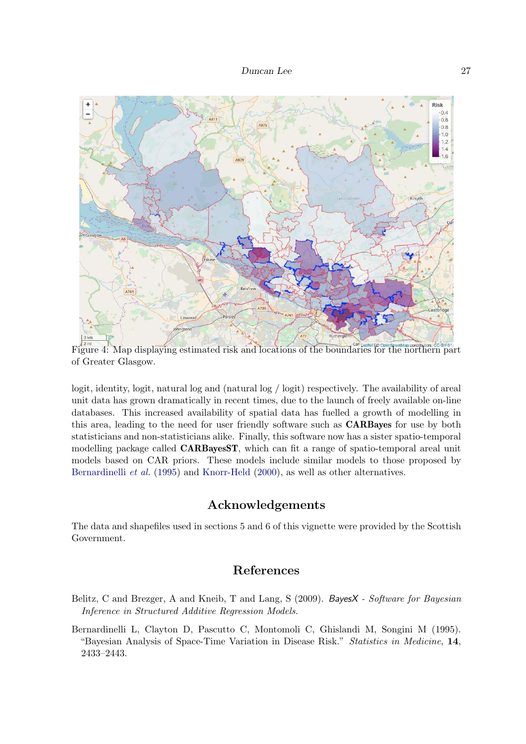

<span id="page-26-1"></span>Figure 4: Map displaying estimated risk and locations of the boundaries for the northern part of Greater Glasgow.

logit, identity, logit, natural log and (natural log / logit) respectively. The availability of areal unit data has grown dramatically in recent times, due to the launch of freely available on-line databases. This increased availability of spatial data has fuelled a growth of modelling in this area, leading to the need for user friendly software such as CARBayes for use by both statisticians and non-statisticians alike. Finally, this software now has a sister spatio-temporal modelling package called CARBayesST, which can fit a range of spatio-temporal areal unit models based on CAR priors. These models include similar models to those proposed by [Bernardinelli](#page-26-2) *et al.* [\(1995\)](#page-26-2) and [Knorr-Held](#page-28-15) [\(2000\)](#page-28-15), as well as other alternatives.

# Acknowledgements

The data and shapefiles used in sections 5 and 6 of this vignette were provided by the Scottish Government.

# References

- <span id="page-26-0"></span>Belitz, C and Brezger, A and Kneib, T and Lang, S (2009). BayesX - Software for Bayesian Inference in Structured Additive Regression Models.
- <span id="page-26-2"></span>Bernardinelli L, Clayton D, Pascutto C, Montomoli C, Ghislandi M, Songini M (1995). "Bayesian Analysis of Space-Time Variation in Disease Risk." Statistics in Medicine, 14, 2433–2443.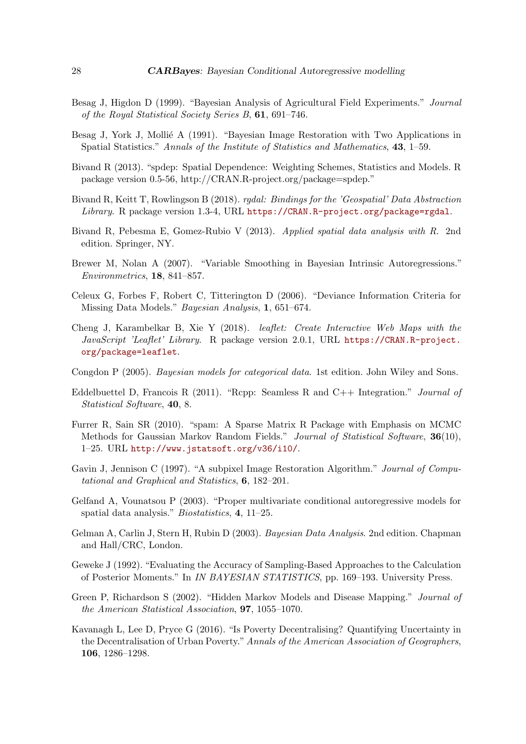- <span id="page-27-0"></span>Besag J, Higdon D (1999). "Bayesian Analysis of Agricultural Field Experiments." Journal of the Royal Statistical Society Series B, 61, 691–746.
- <span id="page-27-4"></span>Besag J, York J, Mollié A (1991). "Bayesian Image Restoration with Two Applications in Spatial Statistics." Annals of the Institute of Statistics and Mathematics, 43, 1–59.
- <span id="page-27-5"></span>Bivand R (2013). "spdep: Spatial Dependence: Weighting Schemes, Statistics and Models. R package version 0.5-56, http://CRAN.R-project.org/package=spdep."
- <span id="page-27-12"></span>Bivand R, Keitt T, Rowlingson B (2018). rgdal: Bindings for the 'Geospatial' Data Abstraction Library. R package version 1.3-4, URL <https://CRAN.R-project.org/package=rgdal>.
- <span id="page-27-11"></span>Bivand R, Pebesma E, Gomez-Rubio V (2013). Applied spatial data analysis with R. 2nd edition. Springer, NY.
- <span id="page-27-1"></span>Brewer M, Nolan A (2007). "Variable Smoothing in Bayesian Intrinsic Autoregressions." Environmetrics, 18, 841–857.
- <span id="page-27-15"></span>Celeux G, Forbes F, Robert C, Titterington D (2006). "Deviance Information Criteria for Missing Data Models." Bayesian Analysis, 1, 651–674.
- <span id="page-27-9"></span>Cheng J, Karambelkar B, Xie Y (2018). leaflet: Create Interactive Web Maps with the JavaScript 'Leaflet' Library. R package version 2.0.1, URL [https://CRAN.R-project.](https://CRAN.R-project.org/package=leaflet) [org/package=leaflet](https://CRAN.R-project.org/package=leaflet).
- <span id="page-27-14"></span>Congdon P (2005). Bayesian models for categorical data. 1st edition. John Wiley and Sons.
- <span id="page-27-8"></span>Eddelbuettel D, Francois R (2011). "Rcpp: Seamless R and C++ Integration." Journal of Statistical Software, 40, 8.
- <span id="page-27-10"></span>Furrer R, Sain SR (2010). "spam: A Sparse Matrix R Package with Emphasis on MCMC Methods for Gaussian Markov Random Fields." Journal of Statistical Software, 36(10), 1–25. URL <http://www.jstatsoft.org/v36/i10/>.
- <span id="page-27-2"></span>Gavin J, Jennison C (1997). "A subpixel Image Restoration Algorithm." Journal of Computational and Graphical and Statistics, 6, 182–201.
- <span id="page-27-6"></span>Gelfand A, Vounatsou P (2003). "Proper multivariate conditional autoregressive models for spatial data analysis." Biostatistics, 4, 11–25.
- <span id="page-27-16"></span>Gelman A, Carlin J, Stern H, Rubin D (2003). Bayesian Data Analysis. 2nd edition. Chapman and Hall/CRC, London.
- <span id="page-27-13"></span>Geweke J (1992). "Evaluating the Accuracy of Sampling-Based Approaches to the Calculation of Posterior Moments." In IN BAYESIAN STATISTICS, pp. 169–193. University Press.
- <span id="page-27-3"></span>Green P, Richardson S (2002). "Hidden Markov Models and Disease Mapping." Journal of the American Statistical Association, 97, 1055–1070.
- <span id="page-27-7"></span>Kavanagh L, Lee D, Pryce G (2016). "Is Poverty Decentralising? Quantifying Uncertainty in the Decentralisation of Urban Poverty."Annals of the American Association of Geographers, 106, 1286–1298.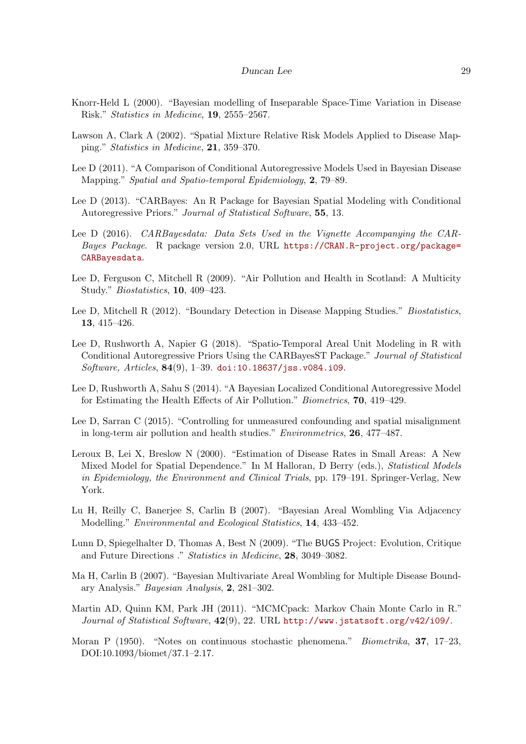- <span id="page-28-15"></span>Knorr-Held L (2000). "Bayesian modelling of Inseparable Space-Time Variation in Disease Risk." Statistics in Medicine, 19, 2555–2567.
- <span id="page-28-5"></span>Lawson A, Clark A (2002). "Spatial Mixture Relative Risk Models Applied to Disease Mapping." Statistics in Medicine, 21, 359–370.
- <span id="page-28-0"></span>Lee D (2011). "A Comparison of Conditional Autoregressive Models Used in Bayesian Disease Mapping." Spatial and Spatio-temporal Epidemiology, 2, 79–89.
- <span id="page-28-9"></span>Lee D (2013). "CARBayes: An R Package for Bayesian Spatial Modeling with Conditional Autoregressive Priors." Journal of Statistical Software, 55, 13.
- <span id="page-28-12"></span>Lee D (2016). CARBayesdata: Data Sets Used in the Vignette Accompanying the CAR-Bayes Package. R package version 2.0, URL [https://CRAN.R-project.org/package=](https://CRAN.R-project.org/package=CARBayesdata) [CARBayesdata](https://CRAN.R-project.org/package=CARBayesdata).
- <span id="page-28-1"></span>Lee D, Ferguson C, Mitchell R (2009). "Air Pollution and Health in Scotland: A Multicity Study." Biostatistics, 10, 409–423.
- <span id="page-28-6"></span>Lee D, Mitchell R (2012). "Boundary Detection in Disease Mapping Studies." Biostatistics, 13, 415–426.
- <span id="page-28-10"></span>Lee D, Rushworth A, Napier G (2018). "Spatio-Temporal Areal Unit Modeling in R with Conditional Autoregressive Priors Using the CARBayesST Package." Journal of Statistical Software, Articles,  $84(9)$ , 1–39. [doi:10.18637/jss.v084.i09](http://dx.doi.org/10.18637/jss.v084.i09).
- <span id="page-28-7"></span>Lee D, Rushworth A, Sahu S (2014). "A Bayesian Localized Conditional Autoregressive Model for Estimating the Health Effects of Air Pollution." Biometrics, 70, 419–429.
- <span id="page-28-11"></span>Lee D, Sarran C (2015). "Controlling for unmeasured confounding and spatial misalignment in long-term air pollution and health studies." Environmetrics, 26, 477–487.
- <span id="page-28-4"></span>Leroux B, Lei X, Breslow N (2000). "Estimation of Disease Rates in Small Areas: A New Mixed Model for Spatial Dependence." In M Halloran, D Berry (eds.), Statistical Models in Epidemiology, the Environment and Clinical Trials, pp. 179–191. Springer-Verlag, New York.
- <span id="page-28-2"></span>Lu H, Reilly C, Banerjee S, Carlin B (2007). "Bayesian Areal Wombling Via Adjacency Modelling." Environmental and Ecological Statistics, 14, 433–452.
- <span id="page-28-8"></span>Lunn D, Spiegelhalter D, Thomas A, Best N (2009). "The BUGS Project: Evolution, Critique and Future Directions ." Statistics in Medicine, 28, 3049–3082.
- <span id="page-28-3"></span>Ma H, Carlin B (2007). "Bayesian Multivariate Areal Wombling for Multiple Disease Boundary Analysis." Bayesian Analysis, 2, 281–302.
- <span id="page-28-13"></span>Martin AD, Quinn KM, Park JH (2011). "MCMCpack: Markov Chain Monte Carlo in R." Journal of Statistical Software, 42(9), 22. URL <http://www.jstatsoft.org/v42/i09/>.
- <span id="page-28-14"></span>Moran P (1950). "Notes on continuous stochastic phenomena." *Biometrika*, 37, 17–23, DOI:10.1093/biomet/37.1–2.17.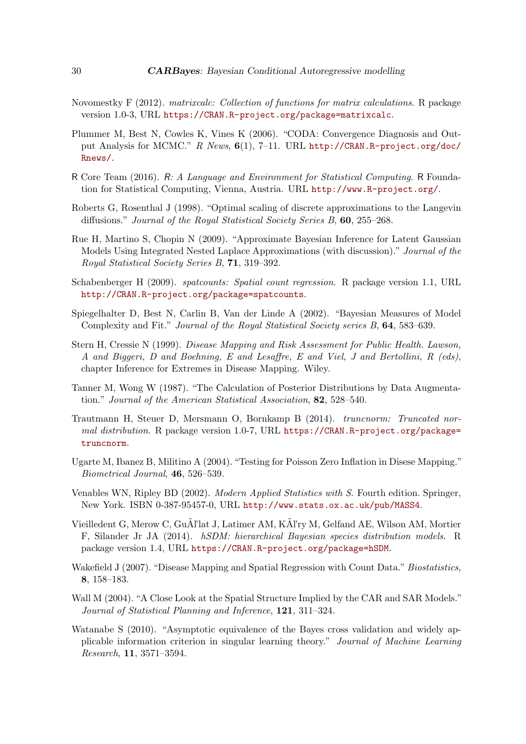- <span id="page-29-12"></span>Novomestky F (2012). matrixcalc: Collection of functions for matrix calculations. R package version 1.0-3, URL <https://CRAN.R-project.org/package=matrixcalc>.
- <span id="page-29-11"></span>Plummer M, Best N, Cowles K, Vines K (2006). "CODA: Convergence Diagnosis and Output Analysis for MCMC." R News,  $6(1)$ , 7-11. URL [http://CRAN.R-project.org/doc/](http://CRAN.R-project.org/doc/Rnews/) [Rnews/](http://CRAN.R-project.org/doc/Rnews/).
- <span id="page-29-3"></span>R Core Team (2016). R: A Language and Environment for Statistical Computing. R Foundation for Statistical Computing, Vienna, Austria. URL <http://www.R-project.org/>.
- <span id="page-29-9"></span>Roberts G, Rosenthal J (1998). "Optimal scaling of discrete approximations to the Langevin diffusions." Journal of the Royal Statistical Society Series B, 60, 255–268.
- <span id="page-29-6"></span>Rue H, Martino S, Chopin N (2009). "Approximate Bayesian Inference for Latent Gaussian Models Using Integrated Nested Laplace Approximations (with discussion)." Journal of the Royal Statistical Society Series B, 71, 319–392.
- <span id="page-29-5"></span>Schabenberger H (2009). spatcounts: Spatial count regression. R package version 1.1, URL <http://CRAN.R-project.org/package=spatcounts>.
- <span id="page-29-14"></span>Spiegelhalter D, Best N, Carlin B, Van der Linde A (2002). "Bayesian Measures of Model Complexity and Fit." Journal of the Royal Statistical Society series B, 64, 583–639.
- <span id="page-29-2"></span>Stern H, Cressie N (1999). Disease Mapping and Risk Assessment for Public Health. Lawson, A and Biggeri, D and Boehning, E and Lesaffre, E and Viel, J and Bertollini, R (eds), chapter Inference for Extremes in Disease Mapping. Wiley.
- <span id="page-29-7"></span>Tanner M, Wong W (1987). "The Calculation of Posterior Distributions by Data Augmentation." Journal of the American Statistical Association, 82, 528–540.
- <span id="page-29-13"></span>Trautmann H, Steuer D, Mersmann O, Bornkamp B (2014). truncnorm: Truncated normal distribution. R package version 1.0-7, URL [https://CRAN.R-project.org/package=](https://CRAN.R-project.org/package=truncnorm) [truncnorm](https://CRAN.R-project.org/package=truncnorm).
- <span id="page-29-8"></span>Ugarte M, Ibanez B, Militino A (2004). "Testing for Poisson Zero Inflation in Disese Mapping." Biometrical Journal, 46, 526–539.
- <span id="page-29-10"></span>Venables WN, Ripley BD (2002). Modern Applied Statistics with S. Fourth edition. Springer, New York. ISBN 0-387-95457-0, URL <http://www.stats.ox.ac.uk/pub/MASS4>.
- <span id="page-29-4"></span>Vieilledent G, Merow C, Gu $\tilde{A}$ l'lat J, Latimer AM, K $\tilde{A}$ l'ry M, Gelfand AE, Wilson AM, Mortier F, Silander Jr JA (2014). hSDM: hierarchical Bayesian species distribution models. R package version 1.4, URL <https://CRAN.R-project.org/package=hSDM>.
- <span id="page-29-1"></span>Wakefield J (2007). "Disease Mapping and Spatial Regression with Count Data." Biostatistics, 8, 158–183.
- <span id="page-29-0"></span>Wall M (2004). "A Close Look at the Spatial Structure Implied by the CAR and SAR Models." Journal of Statistical Planning and Inference, 121, 311–324.
- <span id="page-29-15"></span>Watanabe S (2010). "Asymptotic equivalence of the Bayes cross validation and widely applicable information criterion in singular learning theory." Journal of Machine Learning Research, 11, 3571–3594.